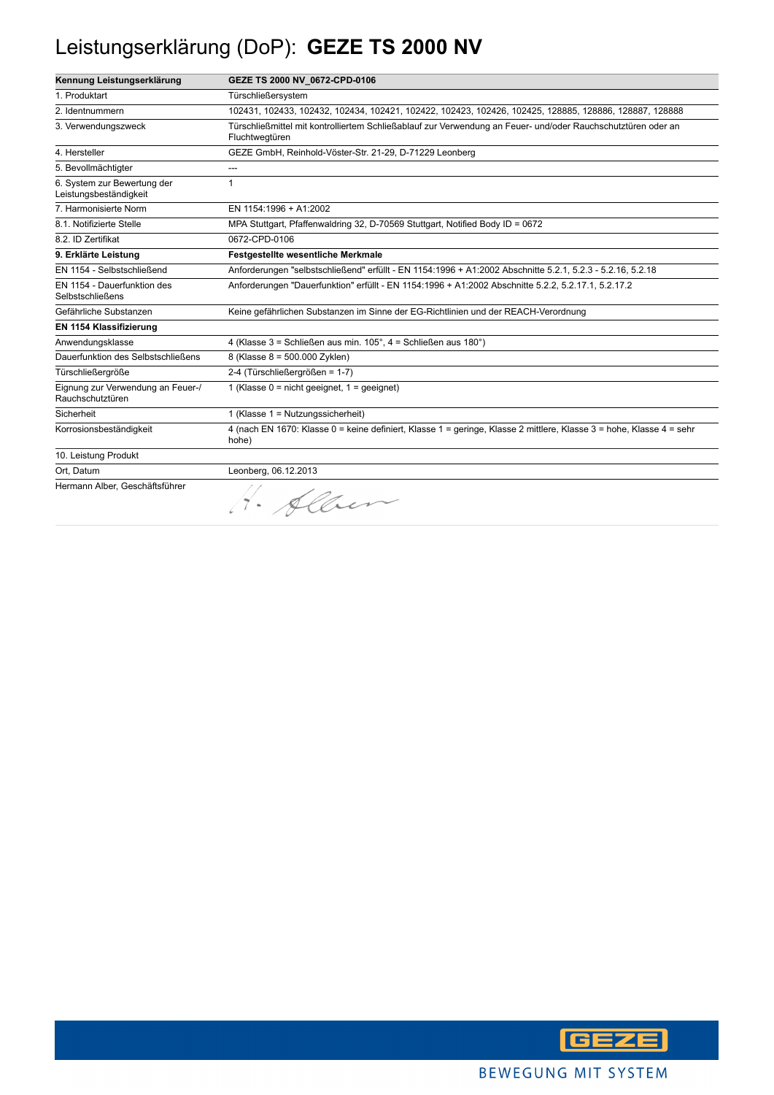## Leistungserklärung (DoP): **GEZE TS 2000 NV**

| Kennung Leistungserklärung                             | GEZE TS 2000 NV 0672-CPD-0106                                                                                                  |
|--------------------------------------------------------|--------------------------------------------------------------------------------------------------------------------------------|
| 1. Produktart                                          | Türschließersystem                                                                                                             |
| 2. Identnummern                                        | 102431, 102433, 102432, 102434, 102421, 102422, 102423, 102426, 102425, 128885, 128886, 128887, 128888                         |
| 3. Verwendungszweck                                    | Türschließmittel mit kontrolliertem Schließablauf zur Verwendung an Feuer- und/oder Rauchschutztüren oder an<br>Fluchtwegtüren |
| 4. Hersteller                                          | GEZE GmbH, Reinhold-Vöster-Str. 21-29, D-71229 Leonberg                                                                        |
| 5. Bevollmächtigter                                    | ---                                                                                                                            |
| 6. System zur Bewertung der<br>Leistungsbeständigkeit  | 1                                                                                                                              |
| 7. Harmonisierte Norm                                  | EN 1154:1996 + A1:2002                                                                                                         |
| 8.1. Notifizierte Stelle                               | MPA Stuttgart, Pfaffenwaldring 32, D-70569 Stuttgart, Notified Body ID = 0672                                                  |
| 8.2. ID Zertifikat                                     | 0672-CPD-0106                                                                                                                  |
| 9. Erklärte Leistung                                   | <b>Festgestellte wesentliche Merkmale</b>                                                                                      |
| EN 1154 - Selbstschließend                             | Anforderungen "selbstschließend" erfüllt - EN 1154:1996 + A1:2002 Abschnitte 5.2.1, 5.2.3 - 5.2.16, 5.2.18                     |
| EN 1154 - Dauerfunktion des<br><b>Selbstschließens</b> | Anforderungen "Dauerfunktion" erfüllt - EN 1154:1996 + A1:2002 Abschnitte 5.2.2, 5.2.17.1, 5.2.17.2                            |
| Gefährliche Substanzen                                 | Keine gefährlichen Substanzen im Sinne der EG-Richtlinien und der REACH-Verordnung                                             |
| EN 1154 Klassifizierung                                |                                                                                                                                |
| Anwendungsklasse                                       | 4 (Klasse 3 = Schließen aus min. 105°, 4 = Schließen aus 180°)                                                                 |
| Dauerfunktion des Selbstschließens                     | 8 (Klasse 8 = 500.000 Zyklen)                                                                                                  |
| Türschließergröße                                      | 2-4 (Türschließergrößen = 1-7)                                                                                                 |
| Eignung zur Verwendung an Feuer-/<br>Rauchschutztüren  | 1 (Klasse $0 = \text{nicht}$ geeignet, $1 = \text{qeeiquet}$ )                                                                 |
| Sicherheit                                             | 1 (Klasse $1 =$ Nutzungssicherheit)                                                                                            |
| Korrosionsbeständigkeit                                | 4 (nach EN 1670: Klasse 0 = keine definiert, Klasse 1 = geringe, Klasse 2 mittlere, Klasse 3 = hohe, Klasse 4 = sehr<br>hohe)  |
| 10. Leistung Produkt                                   |                                                                                                                                |
| Ort, Datum                                             | Leonberg, 06.12.2013                                                                                                           |
| Hermann Alber, Geschäftsführer                         | 1. Albem                                                                                                                       |

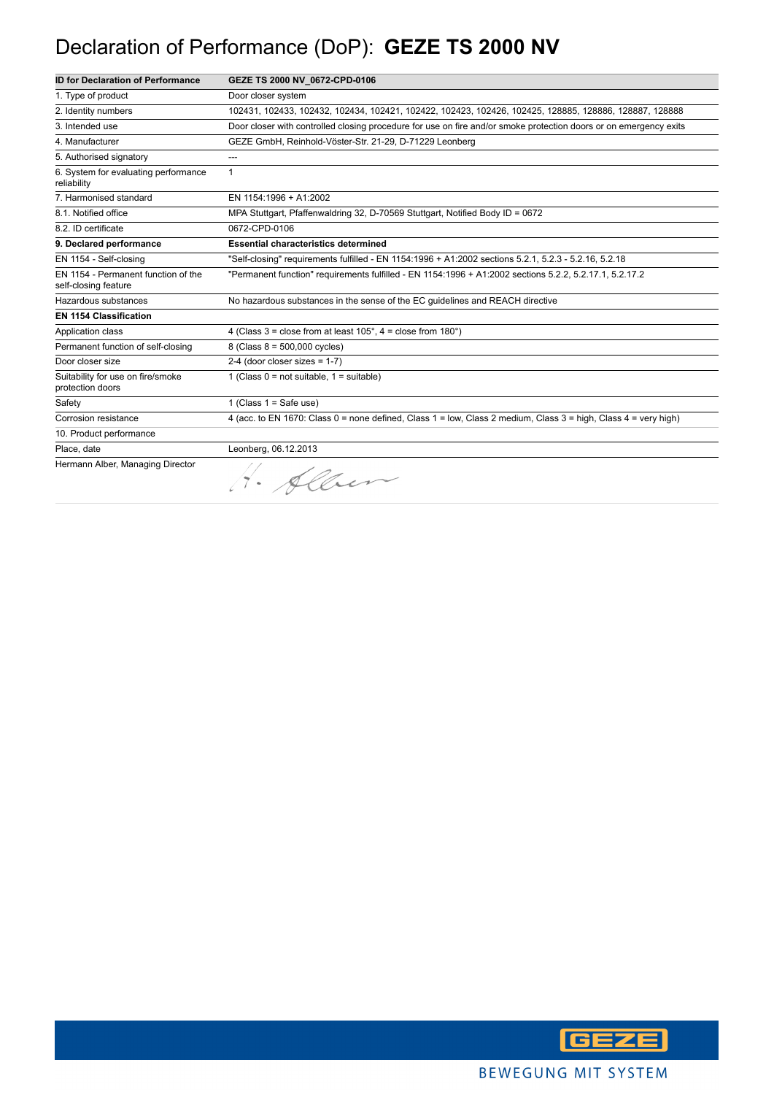## Declaration of Performance (DoP): **GEZE TS 2000 NV**

| <b>ID for Declaration of Performance</b>                    | GEZE TS 2000 NV 0672-CPD-0106                                                                                     |
|-------------------------------------------------------------|-------------------------------------------------------------------------------------------------------------------|
| 1. Type of product                                          | Door closer system                                                                                                |
| 2. Identity numbers                                         | 102431, 102433, 102432, 102434, 102421, 102422, 102423, 102426, 102425, 128885, 128886, 128887, 128888            |
| 3. Intended use                                             | Door closer with controlled closing procedure for use on fire and/or smoke protection doors or on emergency exits |
| 4. Manufacturer                                             | GEZE GmbH, Reinhold-Vöster-Str. 21-29, D-71229 Leonberg                                                           |
| 5. Authorised signatory                                     | ---                                                                                                               |
| 6. System for evaluating performance<br>reliability         | $\mathbf{1}$                                                                                                      |
| 7. Harmonised standard                                      | EN 1154:1996 + A1:2002                                                                                            |
| 8.1. Notified office                                        | MPA Stuttgart, Pfaffenwaldring 32, D-70569 Stuttgart, Notified Body ID = 0672                                     |
| 8.2. ID certificate                                         | 0672-CPD-0106                                                                                                     |
| 9. Declared performance                                     | <b>Essential characteristics determined</b>                                                                       |
| EN 1154 - Self-closing                                      | "Self-closing" requirements fulfilled - EN 1154:1996 + A1:2002 sections 5.2.1, 5.2.3 - 5.2.16, 5.2.18             |
| EN 1154 - Permanent function of the<br>self-closing feature | "Permanent function" requirements fulfilled - EN 1154:1996 + A1:2002 sections 5.2.2, 5.2.17.1, 5.2.17.2           |
| Hazardous substances                                        | No hazardous substances in the sense of the EC guidelines and REACH directive                                     |
| <b>EN 1154 Classification</b>                               |                                                                                                                   |
| Application class                                           | 4 (Class $3 =$ close from at least $105^\circ$ , $4 =$ close from $180^\circ$ )                                   |
| Permanent function of self-closing                          | 8 (Class 8 = 500,000 cycles)                                                                                      |
| Door closer size                                            | $2-4$ (door closer sizes = 1-7)                                                                                   |
| Suitability for use on fire/smoke<br>protection doors       | 1 (Class $0 = not suitable$ , $1 = suitable$ )                                                                    |
| Safety                                                      | 1 (Class $1 =$ Safe use)                                                                                          |
| Corrosion resistance                                        | 4 (acc. to EN 1670: Class 0 = none defined, Class 1 = low, Class 2 medium, Class 3 = high, Class 4 = very high)   |
| 10. Product performance                                     |                                                                                                                   |
| Place, date                                                 | Leonberg, 06.12.2013                                                                                              |
| Hermann Alber, Managing Director                            | · Alber                                                                                                           |

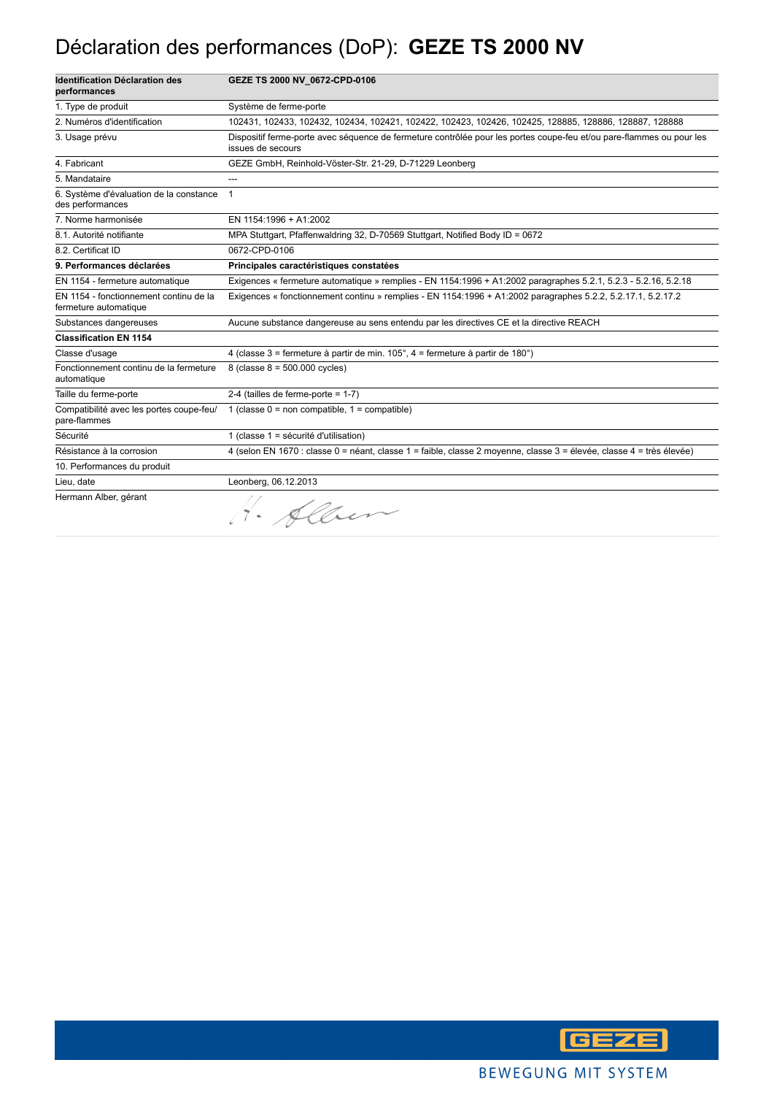#### Déclaration des performances (DoP): **GEZE TS 2000 NV**

| <b>Identification Déclaration des</b><br>performances           | GEZE TS 2000 NV_0672-CPD-0106                                                                                                             |
|-----------------------------------------------------------------|-------------------------------------------------------------------------------------------------------------------------------------------|
| 1. Type de produit                                              | Système de ferme-porte                                                                                                                    |
| 2. Numéros d'identification                                     | 102431, 102433, 102432, 102434, 102421, 102422, 102423, 102426, 102425, 128885, 128886, 128887, 128888                                    |
| 3. Usage prévu                                                  | Dispositif ferme-porte avec séquence de fermeture contrôlée pour les portes coupe-feu et/ou pare-flammes ou pour les<br>issues de secours |
| 4. Fabricant                                                    | GEZE GmbH, Reinhold-Vöster-Str. 21-29, D-71229 Leonberg                                                                                   |
| 5. Mandataire                                                   |                                                                                                                                           |
| 6. Système d'évaluation de la constance<br>des performances     | $\mathbf{1}$                                                                                                                              |
| 7. Norme harmonisée                                             | EN 1154:1996 + A1:2002                                                                                                                    |
| 8.1. Autorité notifiante                                        | MPA Stuttgart, Pfaffenwaldring 32, D-70569 Stuttgart, Notified Body ID = 0672                                                             |
| 8.2. Certificat ID                                              | 0672-CPD-0106                                                                                                                             |
| 9. Performances déclarées                                       | Principales caractéristiques constatées                                                                                                   |
| EN 1154 - fermeture automatique                                 | Exigences « fermeture automatique » remplies - EN 1154:1996 + A1:2002 paragraphes 5.2.1, 5.2.3 - 5.2.16, 5.2.18                           |
| EN 1154 - fonctionnement continu de la<br>fermeture automatique | Exigences « fonctionnement continu » remplies - EN 1154:1996 + A1:2002 paragraphes 5.2.2, 5.2.17.1, 5.2.17.2                              |
| Substances dangereuses                                          | Aucune substance dangereuse au sens entendu par les directives CE et la directive REACH                                                   |
| <b>Classification EN 1154</b>                                   |                                                                                                                                           |
| Classe d'usage                                                  | 4 (classe 3 = fermeture à partir de min. $105^\circ$ , 4 = fermeture à partir de 180 $^\circ$ )                                           |
| Fonctionnement continu de la fermeture<br>automatique           | 8 (classe $8 = 500.000$ cycles)                                                                                                           |
| Taille du ferme-porte                                           | 2-4 (tailles de ferme-porte = $1-7$ )                                                                                                     |
| Compatibilité avec les portes coupe-feu/<br>pare-flammes        | 1 (classe $0 =$ non compatible, $1 =$ compatible)                                                                                         |
| Sécurité                                                        | 1 (classe 1 = sécurité d'utilisation)                                                                                                     |
| Résistance à la corrosion                                       | 4 (selon EN 1670 : classe 0 = néant, classe 1 = faible, classe 2 moyenne, classe 3 = élevée, classe 4 = très élevée)                      |
| 10. Performances du produit                                     |                                                                                                                                           |
| Lieu, date                                                      | Leonberg, 06.12.2013                                                                                                                      |
| Hermann Alber, gérant                                           | 1. Alber                                                                                                                                  |

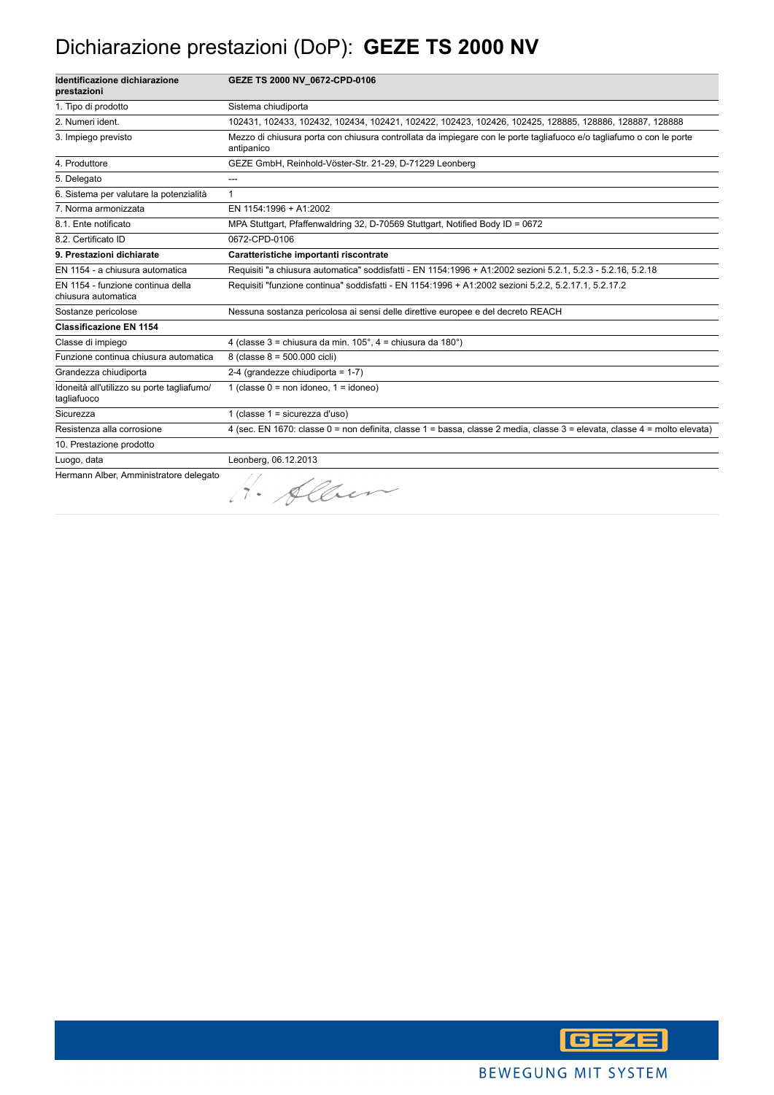#### Dichiarazione prestazioni (DoP): **GEZE TS 2000 NV**

| Identificazione dichiarazione<br>prestazioni              | GEZE TS 2000 NV 0672-CPD-0106                                                                                                      |
|-----------------------------------------------------------|------------------------------------------------------------------------------------------------------------------------------------|
| 1. Tipo di prodotto                                       | Sistema chiudiporta                                                                                                                |
| 2. Numeri ident.                                          | 102431, 102433, 102432, 102434, 102421, 102422, 102423, 102426, 102425, 128885, 128886, 128887, 128888                             |
| 3. Impiego previsto                                       | Mezzo di chiusura porta con chiusura controllata da impiegare con le porte tagliafuoco e/o tagliafumo o con le porte<br>antipanico |
| 4. Produttore                                             | GEZE GmbH, Reinhold-Vöster-Str. 21-29, D-71229 Leonberg                                                                            |
| 5. Delegato                                               | ---                                                                                                                                |
| 6. Sistema per valutare la potenzialità                   | $\mathbf{1}$                                                                                                                       |
| 7. Norma armonizzata                                      | EN 1154:1996 + A1:2002                                                                                                             |
| 8.1. Ente notificato                                      | MPA Stuttgart, Pfaffenwaldring 32, D-70569 Stuttgart, Notified Body ID = 0672                                                      |
| 8.2. Certificato ID                                       | 0672-CPD-0106                                                                                                                      |
| 9. Prestazioni dichiarate                                 | Caratteristiche importanti riscontrate                                                                                             |
| EN 1154 - a chiusura automatica                           | Requisiti "a chiusura automatica" soddisfatti - EN 1154:1996 + A1:2002 sezioni 5.2.1, 5.2.3 - 5.2.16, 5.2.18                       |
| EN 1154 - funzione continua della<br>chiusura automatica  | Requisiti "funzione continua" soddisfatti - EN 1154:1996 + A1:2002 sezioni 5.2.2, 5.2.17.1, 5.2.17.2                               |
| Sostanze pericolose                                       | Nessuna sostanza pericolosa ai sensi delle direttive europee e del decreto REACH                                                   |
| <b>Classificazione EN 1154</b>                            |                                                                                                                                    |
| Classe di impiego                                         | 4 (classe 3 = chiusura da min. 105°, 4 = chiusura da 180°)                                                                         |
| Funzione continua chiusura automatica                     | 8 (classe 8 = 500.000 cicli)                                                                                                       |
| Grandezza chiudiporta                                     | 2-4 (grandezze chiudiporta = $1-7$ )                                                                                               |
| Idoneità all'utilizzo su porte tagliafumo/<br>tagliafuoco | 1 (classe $0 = \text{non}$ idoneo, $1 = \text{idoneo}$ )                                                                           |
| Sicurezza                                                 | 1 (classe $1 =$ sicurezza d'uso)                                                                                                   |
| Resistenza alla corrosione                                | 4 (sec. EN 1670: classe 0 = non definita, classe 1 = bassa, classe 2 media, classe 3 = elevata, classe 4 = molto elevata)          |
| 10. Prestazione prodotto                                  |                                                                                                                                    |
| Luogo, data                                               | Leonberg, 06.12.2013                                                                                                               |
| Hermann Alber, Amministratore delegato                    | · Alben                                                                                                                            |

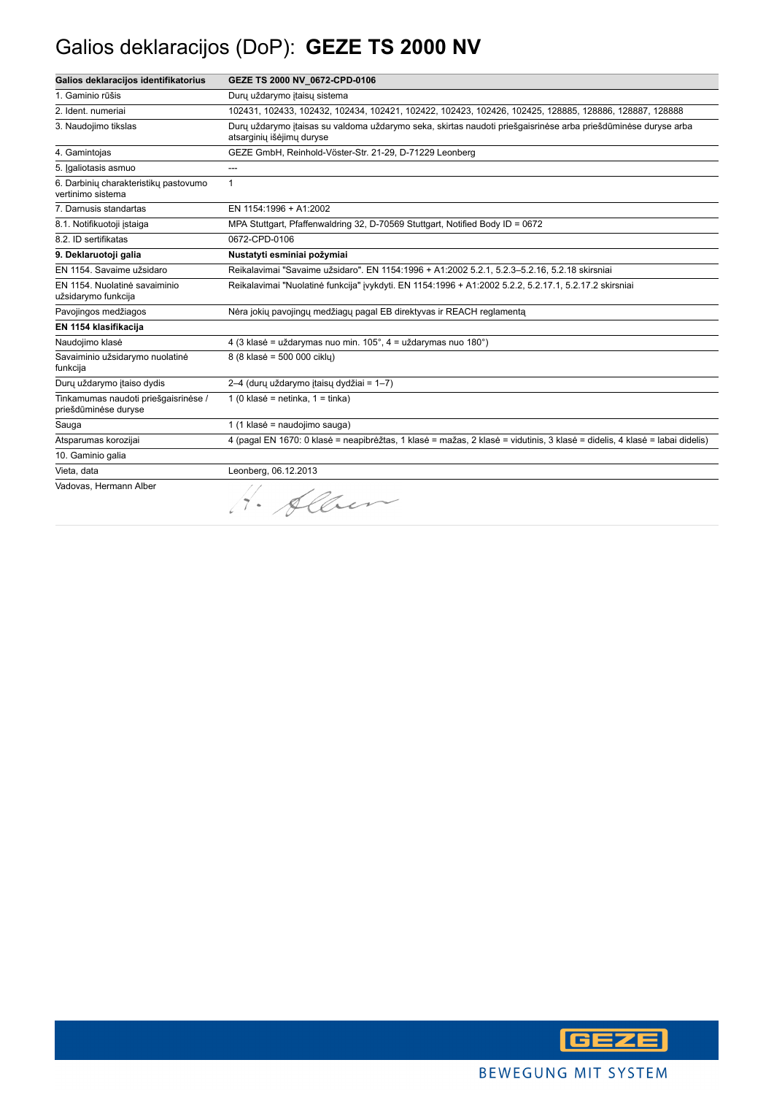## Galios deklaracijos (DoP): **GEZE TS 2000 NV**

| Galios deklaracijos identifikatorius                         | GEZE TS 2000 NV 0672-CPD-0106                                                                                                               |
|--------------------------------------------------------------|---------------------------------------------------------------------------------------------------------------------------------------------|
| 1. Gaminio rūšis                                             | Durų uždarymo itaisų sistema                                                                                                                |
| 2. Ident. numeriai                                           | 102431, 102433, 102432, 102434, 102421, 102422, 102423, 102426, 102425, 128885, 128886, 128887, 128888                                      |
| 3. Naudojimo tikslas                                         | Dury uždarymo įtaisas su valdoma uždarymo seka, skirtas naudoti priešgaisrinėse arba priešdūminėse duryse arba<br>atsarginių išėjimų duryse |
| 4. Gamintojas                                                | GEZE GmbH, Reinhold-Vöster-Str. 21-29, D-71229 Leonberg                                                                                     |
| 5. Igaliotasis asmuo                                         | ---                                                                                                                                         |
| 6. Darbinių charakteristikų pastovumo<br>vertinimo sistema   | $\mathbf{1}$                                                                                                                                |
| 7. Darnusis standartas                                       | EN 1154:1996 + A1:2002                                                                                                                      |
| 8.1. Notifikuotoji įstaiga                                   | MPA Stuttgart, Pfaffenwaldring 32, D-70569 Stuttgart, Notified Body ID = 0672                                                               |
| 8.2. ID sertifikatas                                         | 0672-CPD-0106                                                                                                                               |
| 9. Deklaruotoji galia                                        | Nustatyti esminiai požymiai                                                                                                                 |
| EN 1154. Savaime užsidaro                                    | Reikalavimai "Savaime užsidaro". EN 1154:1996 + A1:2002 5.2.1, 5.2.3-5.2.16, 5.2.18 skirsniai                                               |
| EN 1154. Nuolatinė savaiminio<br>užsidarymo funkcija         | Reikalavimai "Nuolatinė funkcija" įvykdyti. EN 1154:1996 + A1:2002 5.2.2, 5.2.17.1, 5.2.17.2 skirsniai                                      |
| Pavojingos medžiagos                                         | Nėra jokių pavojingų medžiagų pagal EB direktyvas ir REACH reglamentą                                                                       |
| EN 1154 klasifikacija                                        |                                                                                                                                             |
| Naudojimo klasė                                              | 4 (3 klasė = uždarymas nuo min. 105°, 4 = uždarymas nuo 180°)                                                                               |
| Savaiminio užsidarymo nuolatinė<br>funkcija                  | 8 (8 klasė = 500 000 ciklu)                                                                                                                 |
| Durų uždarymo įtaiso dydis                                   | 2-4 (durų uždarymo įtaisų dydžiai = 1-7)                                                                                                    |
| Tinkamumas naudoti priešgaisrinėse /<br>priešdūminėse duryse | 1 (0 klasė = netinka, $1 =$ tinka)                                                                                                          |
| Sauga                                                        | 1 (1 klasė = naudojimo sauga)                                                                                                               |
| Atsparumas korozijai                                         | 4 (pagal EN 1670: 0 klasė = neapibrėžtas, 1 klasė = mažas, 2 klasė = vidutinis, 3 klasė = didelis, 4 klasė = labai didelis)                 |
| 10. Gaminio galia                                            |                                                                                                                                             |
| Vieta, data                                                  | Leonberg, 06.12.2013                                                                                                                        |
| Vadovas, Hermann Alber                                       | Sher                                                                                                                                        |

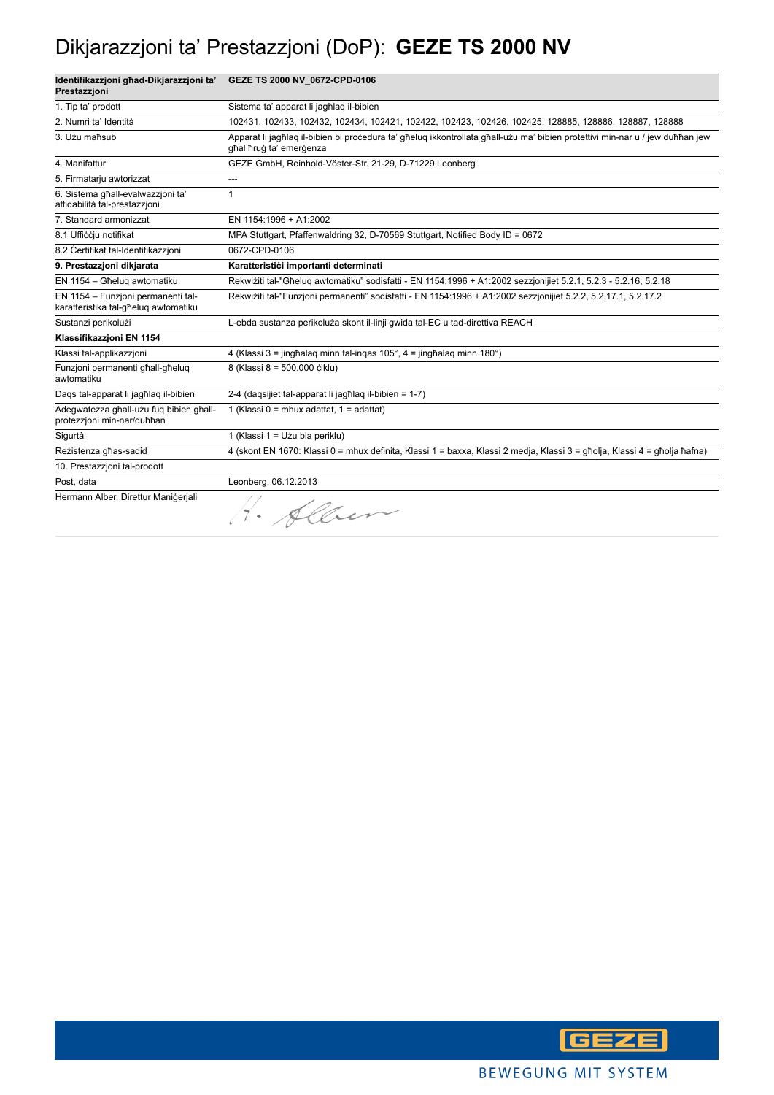## Dikjarazzjoni ta' Prestazzjoni (DoP): **GEZE TS 2000 NV**

| Identifikazzjoni għad-Dikjarazzjoni ta'<br>Prestazzioni                    | GEZE TS 2000 NV_0672-CPD-0106                                                                                                                            |
|----------------------------------------------------------------------------|----------------------------------------------------------------------------------------------------------------------------------------------------------|
| 1. Tip ta' prodott                                                         | Sistema ta' apparat li jagħlag il-bibien                                                                                                                 |
| 2. Numri ta' Identità                                                      | 102431, 102433, 102432, 102434, 102421, 102422, 102423, 102426, 102425, 128885, 128886, 128887, 128888                                                   |
| 3. Użu maħsub                                                              | Apparat li jagħlaq il-bibien bi pročedura ta' għeluq ikkontrollata għall-użu ma' bibien protettivi min-nar u / jew duħħan jew<br>ghal hrug ta' emergenza |
| 4. Manifattur                                                              | GEZE GmbH, Reinhold-Vöster-Str. 21-29, D-71229 Leonberg                                                                                                  |
| 5. Firmatarju awtorizzat                                                   | ---                                                                                                                                                      |
| 6. Sistema ghall-evalwazzioni ta'<br>affidabilità tal-prestazzioni         | 1                                                                                                                                                        |
| 7. Standard armonizzat                                                     | EN 1154:1996 + A1:2002                                                                                                                                   |
| 8.1 Ufficcju notifikat                                                     | MPA Stuttgart, Pfaffenwaldring 32, D-70569 Stuttgart, Notified Body ID = 0672                                                                            |
| 8.2 Certifikat tal-Identifikazzjoni                                        | 0672-CPD-0106                                                                                                                                            |
| 9. Prestazzjoni dikjarata                                                  | Karatteristići importanti determinati                                                                                                                    |
| EN 1154 - Għeluq awtomatiku                                                | Rekwiżiti tal-"Għeluq awtomatiku" sodisfatti - EN 1154:1996 + A1:2002 sezzjonijiet 5.2.1, 5.2.3 - 5.2.16, 5.2.18                                         |
| EN 1154 - Funzioni permanenti tal-<br>karatteristika tal-għelug awtomatiku | Rekwiżiti tal-"Funzjoni permanenti" sodisfatti - EN 1154:1996 + A1:2002 sezzjonijiet 5.2.2, 5.2.17.1, 5.2.17.2                                           |
| Sustanzi perikolużi                                                        | L-ebda sustanza perikoluża skont il-linji gwida tal-EC u tad-direttiva REACH                                                                             |
| Klassifikazzioni EN 1154                                                   |                                                                                                                                                          |
| Klassi tal-applikazzjoni                                                   | 4 (Klassi 3 = jinghalag minn tal-ingas 105°, 4 = jinghalag minn 180°)                                                                                    |
| Funzjoni permanenti ghall-gheluq<br>awtomatiku                             | 8 (Klassi 8 = 500,000 ciklu)                                                                                                                             |
| Dags tal-apparat li jagħlag il-bibien                                      | 2-4 (dagsijiet tal-apparat li jagħlag il-bibien = 1-7)                                                                                                   |
| Adegwatezza għall-użu fuq bibien għall-<br>protezzjoni min-nar/duħħan      | 1 (Klassi 0 = mhux adattat, 1 = adattat)                                                                                                                 |
| Sigurtà                                                                    | 1 (Klassi 1 = Użu bla periklu)                                                                                                                           |
| Rezistenza għas-sadid                                                      | 4 (skont EN 1670: Klassi 0 = mhux definita, Klassi 1 = baxxa, Klassi 2 medja, Klassi 3 = qħolja, Klassi 4 = qħolja ħafna)                                |
| 10. Prestazzioni tal-prodott                                               |                                                                                                                                                          |
| Post, data                                                                 | Leonberg, 06.12.2013                                                                                                                                     |
| Hermann Alber, Direttur Manigeriali                                        | H. Alber                                                                                                                                                 |

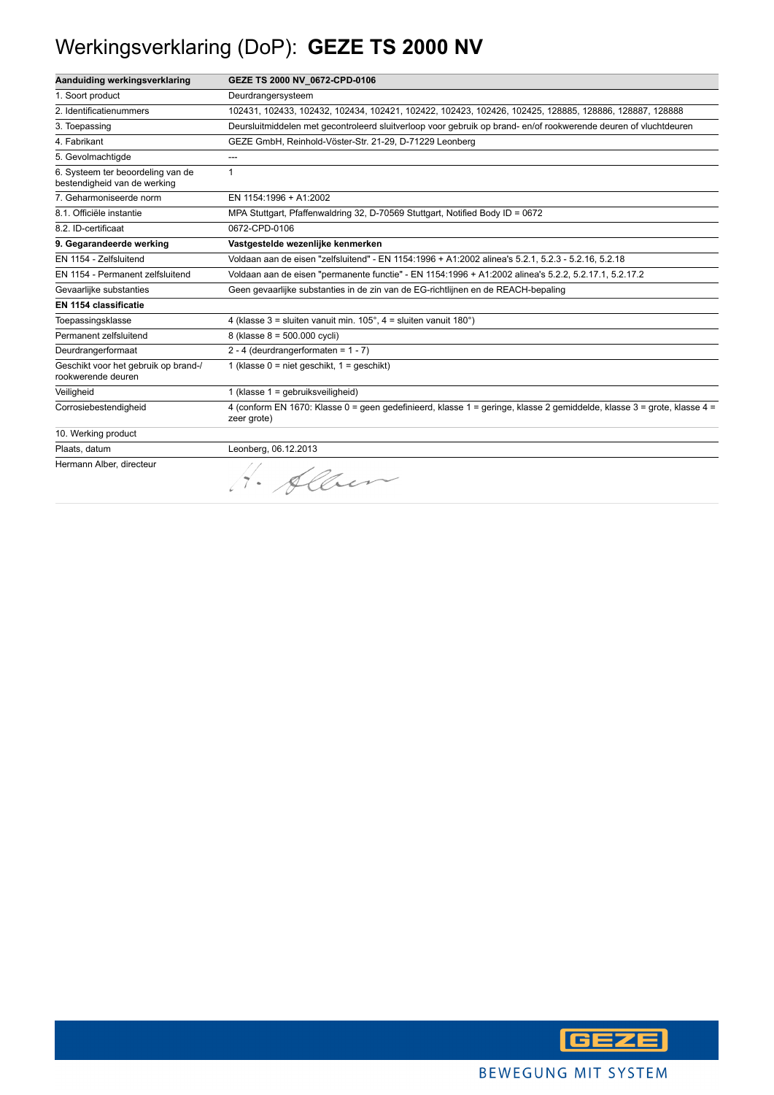## Werkingsverklaring (DoP): **GEZE TS 2000 NV**

| Aanduiding werkingsverklaring                                     | GEZE TS 2000 NV 0672-CPD-0106                                                                                                          |
|-------------------------------------------------------------------|----------------------------------------------------------------------------------------------------------------------------------------|
| 1. Soort product                                                  | Deurdrangersysteem                                                                                                                     |
| 2. Identificatienummers                                           | 102431, 102433, 102432, 102434, 102421, 102422, 102423, 102426, 102425, 128885, 128886, 128887, 128888                                 |
| 3. Toepassing                                                     | Deursluitmiddelen met gecontroleerd sluitverloop voor gebruik op brand-en/of rookwerende deuren of vluchtdeuren                        |
| 4. Fabrikant                                                      | GEZE GmbH, Reinhold-Vöster-Str. 21-29, D-71229 Leonberg                                                                                |
| 5. Gevolmachtigde                                                 | ---                                                                                                                                    |
| 6. Systeem ter beoordeling van de<br>bestendigheid van de werking | $\mathbf{1}$                                                                                                                           |
| 7. Geharmoniseerde norm                                           | EN 1154:1996 + A1:2002                                                                                                                 |
| 8.1. Officiële instantie                                          | MPA Stuttgart, Pfaffenwaldring 32, D-70569 Stuttgart, Notified Body ID = 0672                                                          |
| 8.2. ID-certificaat                                               | 0672-CPD-0106                                                                                                                          |
| 9. Gegarandeerde werking                                          | Vastgestelde wezenlijke kenmerken                                                                                                      |
| EN 1154 - Zelfsluitend                                            | Voldaan aan de eisen "zelfsluitend" - EN 1154:1996 + A1:2002 alinea's 5.2.1, 5.2.3 - 5.2.16, 5.2.18                                    |
| EN 1154 - Permanent zelfsluitend                                  | Voldaan aan de eisen "permanente functie" - EN 1154:1996 + A1:2002 alinea's 5.2.2, 5.2.17.1, 5.2.17.2                                  |
| Gevaarlijke substanties                                           | Geen gevaarlijke substanties in de zin van de EG-richtlijnen en de REACH-bepaling                                                      |
| EN 1154 classificatie                                             |                                                                                                                                        |
| Toepassingsklasse                                                 | 4 (klasse $3 =$ sluiten vanuit min. $105^\circ$ , $4 =$ sluiten vanuit $180^\circ$ )                                                   |
| Permanent zelfsluitend                                            | 8 (klasse 8 = 500.000 cycli)                                                                                                           |
| Deurdrangerformaat                                                | 2 - 4 (deurdrangerformaten = $1 - 7$ )                                                                                                 |
| Geschikt voor het gebruik op brand-/<br>rookwerende deuren        | 1 (klasse $0 =$ niet geschikt, $1 =$ geschikt)                                                                                         |
| Veiligheid                                                        | 1 (klasse 1 = gebruiksveiligheid)                                                                                                      |
| Corrosiebestendigheid                                             | 4 (conform EN 1670: Klasse 0 = geen gedefinieerd, klasse 1 = geringe, klasse 2 gemiddelde, klasse 3 = grote, klasse 4 =<br>zeer grote) |
| 10. Werking product                                               |                                                                                                                                        |
| Plaats, datum                                                     | Leonberg, 06.12.2013                                                                                                                   |
| Hermann Alber, directeur                                          | 1. Alber                                                                                                                               |

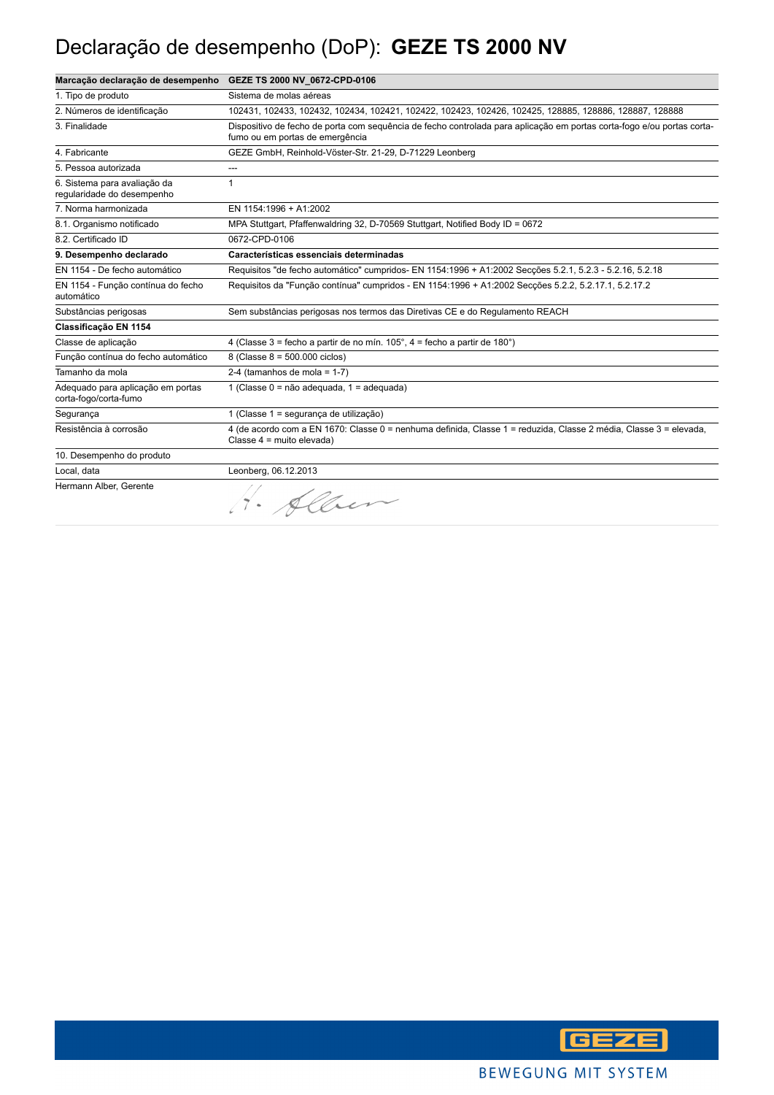## Declaração de desempenho (DoP): **GEZE TS 2000 NV**

| Marcação declaração de desempenho                          | GEZE TS 2000 NV 0672-CPD-0106                                                                                                                             |
|------------------------------------------------------------|-----------------------------------------------------------------------------------------------------------------------------------------------------------|
| 1. Tipo de produto                                         | Sistema de molas aéreas                                                                                                                                   |
| 2. Números de identificação                                | 102431, 102433, 102432, 102434, 102421, 102422, 102423, 102426, 102425, 128885, 128886, 128887, 128888                                                    |
| 3. Finalidade                                              | Dispositivo de fecho de porta com sequência de fecho controlada para aplicação em portas corta-fogo e/ou portas corta-<br>fumo ou em portas de emergência |
| 4. Fabricante                                              | GEZE GmbH, Reinhold-Vöster-Str. 21-29, D-71229 Leonberg                                                                                                   |
| 5. Pessoa autorizada                                       | ---                                                                                                                                                       |
| 6. Sistema para avaliação da<br>regularidade do desempenho | 1                                                                                                                                                         |
| 7. Norma harmonizada                                       | EN 1154:1996 + A1:2002                                                                                                                                    |
| 8.1. Organismo notificado                                  | MPA Stuttgart, Pfaffenwaldring 32, D-70569 Stuttgart, Notified Body ID = 0672                                                                             |
| 8.2. Certificado ID                                        | 0672-CPD-0106                                                                                                                                             |
| 9. Desempenho declarado                                    | Características essenciais determinadas                                                                                                                   |
| EN 1154 - De fecho automático                              | Requisitos "de fecho automático" cumpridos- EN 1154:1996 + A1:2002 Seccões 5.2.1, 5.2.3 - 5.2.16, 5.2.18                                                  |
| EN 1154 - Função contínua do fecho<br>automático           | Requisitos da "Função contínua" cumpridos - EN 1154:1996 + A1:2002 Secções 5.2.2, 5.2.17.1, 5.2.17.2                                                      |
| Substâncias perigosas                                      | Sem substâncias perigosas nos termos das Diretivas CE e do Regulamento REACH                                                                              |
| Classificação EN 1154                                      |                                                                                                                                                           |
| Classe de aplicação                                        | 4 (Classe 3 = fecho a partir de no mín. $105^\circ$ , 4 = fecho a partir de 180 $^\circ$ )                                                                |
| Função contínua do fecho automático                        | 8 (Classe 8 = 500.000 ciclos)                                                                                                                             |
| Tamanho da mola                                            | 2-4 (tamanhos de mola = $1-7$ )                                                                                                                           |
| Adequado para aplicação em portas<br>corta-fogo/corta-fumo | 1 (Classe 0 = não adequada, 1 = adequada)                                                                                                                 |
| Segurança                                                  | 1 (Classe 1 = segurança de utilização)                                                                                                                    |
| Resistência à corrosão                                     | 4 (de acordo com a EN 1670: Classe 0 = nenhuma definida, Classe 1 = reduzida, Classe 2 média, Classe 3 = elevada,<br>Classe 4 = muito elevada)            |
| 10. Desempenho do produto                                  |                                                                                                                                                           |
| Local, data                                                | Leonberg, 06.12.2013                                                                                                                                      |
| Hermann Alber, Gerente                                     | 1. Allen                                                                                                                                                  |

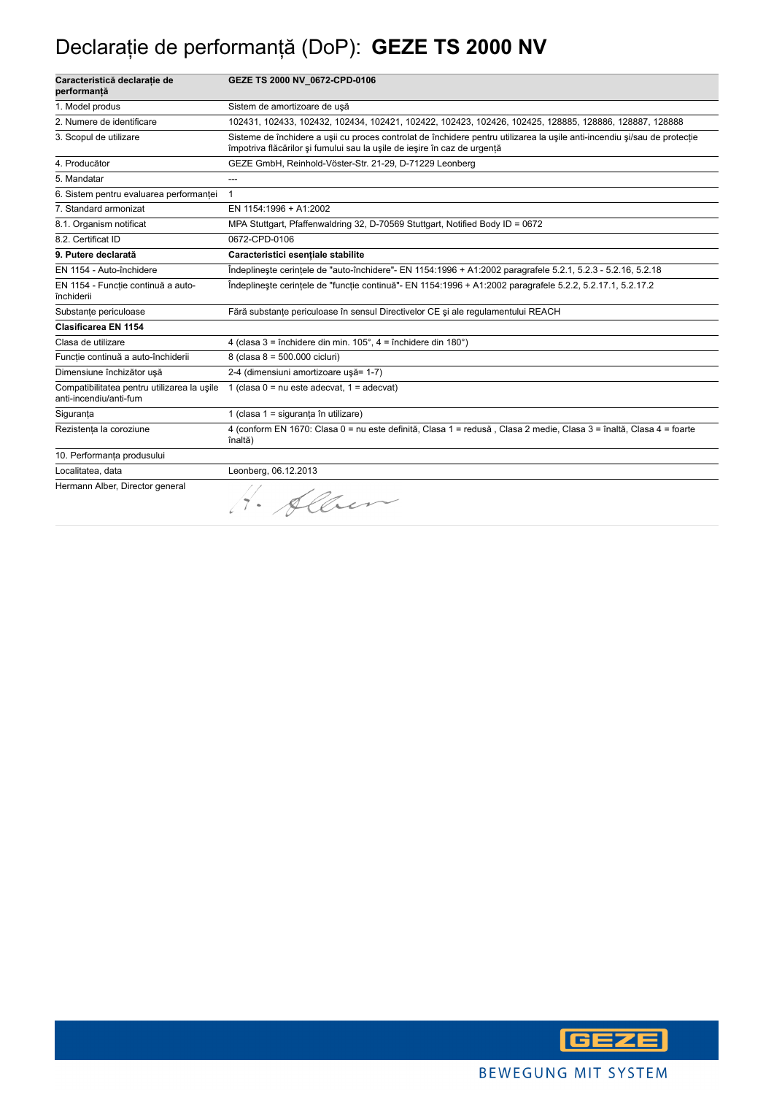## Declaraţie de performanţă (DoP): **GEZE TS 2000 NV**

| Caracteristică declarație de<br>performanță                           | GEZE TS 2000 NV_0672-CPD-0106                                                                                                                                                                         |
|-----------------------------------------------------------------------|-------------------------------------------------------------------------------------------------------------------------------------------------------------------------------------------------------|
| 1. Model produs                                                       | Sistem de amortizoare de usă                                                                                                                                                                          |
| 2. Numere de identificare                                             | 102431, 102433, 102432, 102434, 102421, 102422, 102423, 102426, 102425, 128885, 128886, 128887, 128888                                                                                                |
| 3. Scopul de utilizare                                                | Sisteme de închidere a usii cu proces controlat de închidere pentru utilizarea la usile anti-incendiu si/sau de protectie<br>împotriva flăcărilor și fumului sau la ușile de ieșire în caz de urgentă |
| 4. Producător                                                         | GEZE GmbH, Reinhold-Vöster-Str. 21-29, D-71229 Leonberg                                                                                                                                               |
| 5. Mandatar                                                           | ---                                                                                                                                                                                                   |
| 6. Sistem pentru evaluarea performanței                               | $\mathbf{1}$                                                                                                                                                                                          |
| 7. Standard armonizat                                                 | EN 1154:1996 + A1:2002                                                                                                                                                                                |
| 8.1. Organism notificat                                               | MPA Stuttgart, Pfaffenwaldring 32, D-70569 Stuttgart, Notified Body ID = 0672                                                                                                                         |
| 8.2. Certificat ID                                                    | 0672-CPD-0106                                                                                                                                                                                         |
| 9. Putere declarată                                                   | Caracteristici esentiale stabilite                                                                                                                                                                    |
| EN 1154 - Auto-închidere                                              | Îndeplinește cerințele de "auto-închidere"- EN 1154:1996 + A1:2002 paragrafele 5.2.1, 5.2.3 - 5.2.16, 5.2.18                                                                                          |
| EN 1154 - Funcție continuă a auto-<br>închiderii                      | Îndeplinește cerințele de "funcție continuă"- EN 1154:1996 + A1:2002 paragrafele 5.2.2, 5.2.17.1, 5.2.17.2                                                                                            |
| Substanțe periculoase                                                 | Fără substante periculoase în sensul Directivelor CE și ale regulamentului REACH                                                                                                                      |
| <b>Clasificarea EN 1154</b>                                           |                                                                                                                                                                                                       |
| Clasa de utilizare                                                    | 4 (clasa 3 = închidere din min. $105^\circ$ , 4 = închidere din $180^\circ$ )                                                                                                                         |
| Funcție continuă a auto-închiderii                                    | 8 (clasa 8 = 500.000 cicluri)                                                                                                                                                                         |
| Dimensiune închizător usă                                             | 2-4 (dimensiuni amortizoare usă= 1-7)                                                                                                                                                                 |
| Compatibilitatea pentru utilizarea la usile<br>anti-incendiu/anti-fum | 1 (clasa $0 = nu$ este adecvat, $1 = adecvat$ )                                                                                                                                                       |
| Siguranța                                                             | 1 (clasa 1 = siguranța în utilizare)                                                                                                                                                                  |
| Rezistența la coroziune                                               | 4 (conform EN 1670: Clasa 0 = nu este definită, Clasa 1 = redusă, Clasa 2 medie, Clasa 3 = înaltă, Clasa 4 = foarte<br>înaltă)                                                                        |
| 10. Performanța produsului                                            |                                                                                                                                                                                                       |
| Localitatea, data                                                     | Leonberg, 06.12.2013                                                                                                                                                                                  |
| Hermann Alber, Director general                                       | 1. Alber                                                                                                                                                                                              |

**GEZE**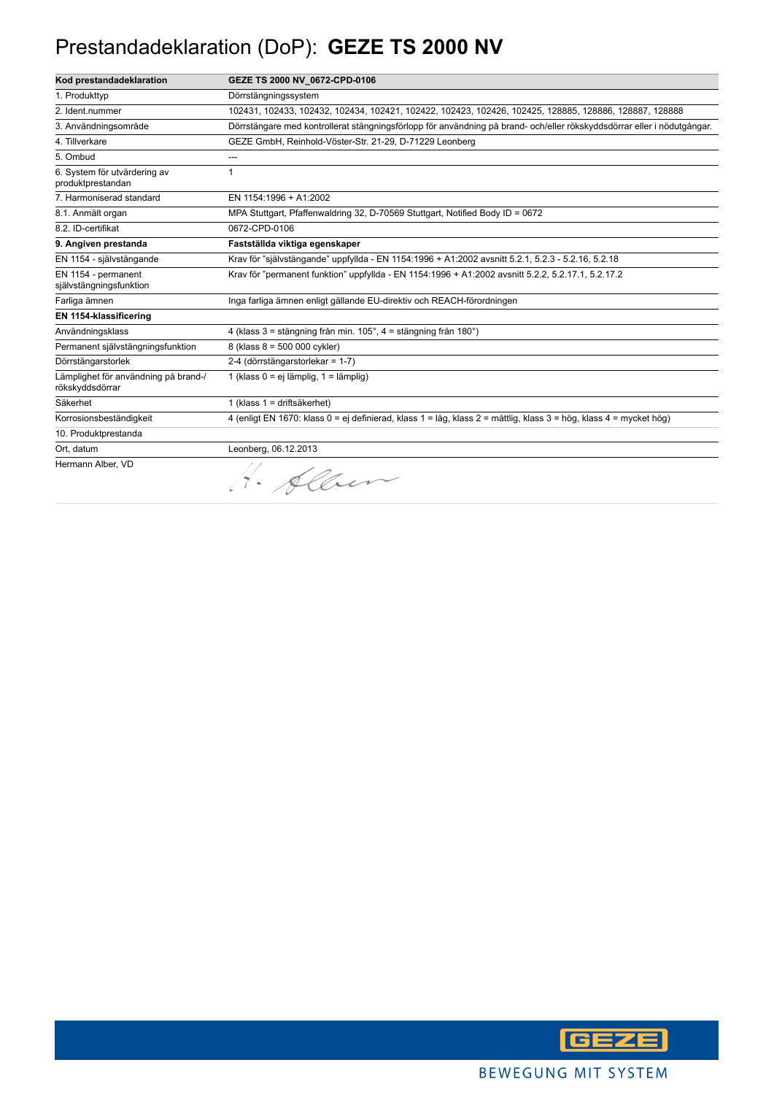## Prestandadeklaration (DoP): **GEZE TS 2000 NV**

| Kod prestandadeklaration                                | GEZE TS 2000 NV 0672-CPD-0106                                                                                           |
|---------------------------------------------------------|-------------------------------------------------------------------------------------------------------------------------|
| 1. Produkttyp                                           | Dörrstängningssystem                                                                                                    |
| 2. Ident.nummer                                         | 102431, 102433, 102432, 102434, 102421, 102422, 102423, 102426, 102425, 128885, 128886, 128887, 128888                  |
| 3. Användningsområde                                    | Dörrstängare med kontrollerat stängningsförlopp för användning på brand- och/eller rökskyddsdörrar eller i nödutgångar. |
| 4. Tillverkare                                          | GEZE GmbH, Reinhold-Vöster-Str. 21-29, D-71229 Leonberg                                                                 |
| 5. Ombud                                                | ---                                                                                                                     |
| 6. System för utvärdering av<br>produktprestandan       | 1                                                                                                                       |
| 7. Harmoniserad standard                                | EN 1154:1996 + A1:2002                                                                                                  |
| 8.1. Anmält organ                                       | MPA Stuttgart, Pfaffenwaldring 32, D-70569 Stuttgart, Notified Body ID = 0672                                           |
| 8.2. ID-certifikat                                      | 0672-CPD-0106                                                                                                           |
| 9. Angiven prestanda                                    | Fastställda viktiga egenskaper                                                                                          |
| EN 1154 - självstängande                                | Krav för "självstängande" uppfyllda - EN 1154:1996 + A1:2002 avsnitt 5.2.1, 5.2.3 - 5.2.16, 5.2.18                      |
| EN 1154 - permanent<br>självstängningsfunktion          | Krav för "permanent funktion" uppfyllda - EN 1154:1996 + A1:2002 avsnitt 5.2.2, 5.2.17.1, 5.2.17.2                      |
| Farliga ämnen                                           | Inga farliga ämnen enligt gällande EU-direktiv och REACH-förordningen                                                   |
| EN 1154-klassificering                                  |                                                                                                                         |
| Användningsklass                                        | 4 (klass 3 = stängning från min. 105°, 4 = stängning från 180°)                                                         |
| Permanent självstängningsfunktion                       | 8 (klass 8 = 500 000 cykler)                                                                                            |
| Dörrstängarstorlek                                      | 2-4 (dörrstängarstorlekar = 1-7)                                                                                        |
| Lämplighet för användning på brand-/<br>rökskyddsdörrar | 1 (klass 0 = ej lämplig, 1 = lämplig)                                                                                   |
| Säkerhet                                                | 1 (klass 1 = driftsäkerhet)                                                                                             |
| Korrosionsbeständigkeit                                 | 4 (enligt EN 1670: klass 0 = ej definierad, klass 1 = låg, klass 2 = måttlig, klass 3 = hög, klass 4 = mycket hög)      |
| 10. Produktprestanda                                    |                                                                                                                         |
| Ort, datum                                              | Leonberg, 06.12.2013                                                                                                    |
| Hermann Alber, VD                                       | H. Alber                                                                                                                |

**GEZE**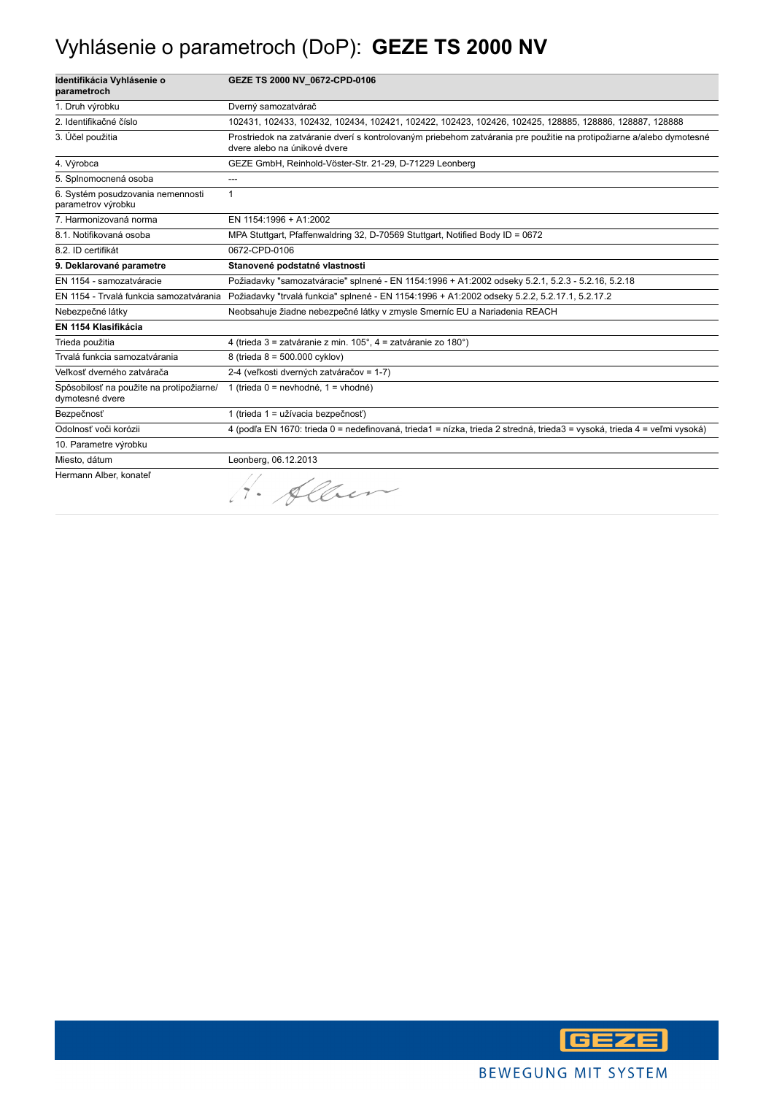## Vyhlásenie o parametroch (DoP): **GEZE TS 2000 NV**

| Identifikácia Vyhlásenie o<br>parametroch                   | GEZE TS 2000 NV 0672-CPD-0106                                                                                                                        |
|-------------------------------------------------------------|------------------------------------------------------------------------------------------------------------------------------------------------------|
| 1. Druh výrobku                                             | Dverný samozatvárač                                                                                                                                  |
| 2. Identifikačné číslo                                      | 102431, 102433, 102432, 102434, 102421, 102422, 102423, 102426, 102425, 128885, 128886, 128887, 128888                                               |
| 3. Účel použitia                                            | Prostriedok na zatváranie dverí s kontrolovaným priebehom zatvárania pre použitie na protipožiarne a/alebo dymotesné<br>dvere alebo na únikové dvere |
| 4. Výrobca                                                  | GEZE GmbH, Reinhold-Vöster-Str. 21-29, D-71229 Leonberg                                                                                              |
| 5. Splnomocnená osoba                                       | ---                                                                                                                                                  |
| 6. Systém posudzovania nemennosti<br>parametrov výrobku     | $\mathbf{1}$                                                                                                                                         |
| 7. Harmonizovaná norma                                      | EN 1154:1996 + A1:2002                                                                                                                               |
| 8.1. Notifikovaná osoba                                     | MPA Stuttgart, Pfaffenwaldring 32, D-70569 Stuttgart, Notified Body ID = 0672                                                                        |
| 8.2. ID certifikát                                          | 0672-CPD-0106                                                                                                                                        |
| 9. Deklarované parametre                                    | Stanovené podstatné vlastnosti                                                                                                                       |
| EN 1154 - samozatváracie                                    | Požiadavky "samozatváracie" splnené - EN 1154:1996 + A1:2002 odseky 5.2.1, 5.2.3 - 5.2.16, 5.2.18                                                    |
| EN 1154 - Trvalá funkcia samozatvárania                     | Požiadavky "trvalá funkcia" splnené - EN 1154:1996 + A1:2002 odseky 5.2.2, 5.2.17.1, 5.2.17.2                                                        |
| Nebezpečné látky                                            | Neobsahuje žiadne nebezpečné látky v zmysle Smerníc EU a Nariadenia REACH                                                                            |
| EN 1154 Klasifikácia                                        |                                                                                                                                                      |
| Trieda použitia                                             | 4 (trieda 3 = zatváranie z min. 105°, 4 = zatváranie zo 180°)                                                                                        |
| Trvalá funkcia samozatvárania                               | 8 (trieda 8 = 500.000 cyklov)                                                                                                                        |
| Veľkosť dverného zatvárača                                  | 2-4 (veľkosti dverných zatváračov = 1-7)                                                                                                             |
| Spôsobilosť na použite na protipožiarne/<br>dymotesné dvere | 1 (trieda 0 = nevhodné, 1 = vhodné)                                                                                                                  |
| Bezpečnosť                                                  | 1 (trieda 1 = užívacia bezpečnosť)                                                                                                                   |
| Odolnosť voči korózii                                       | 4 (podľa EN 1670: trieda 0 = nedefinovaná, trieda1 = nízka, trieda 2 stredná, trieda3 = vysoká, trieda 4 = veľmi vysoká)                             |
| 10. Parametre výrobku                                       |                                                                                                                                                      |
| Miesto, dátum                                               | Leonberg, 06.12.2013                                                                                                                                 |
| Hermann Alber, konateľ                                      | 1. Alben                                                                                                                                             |

**GEZE**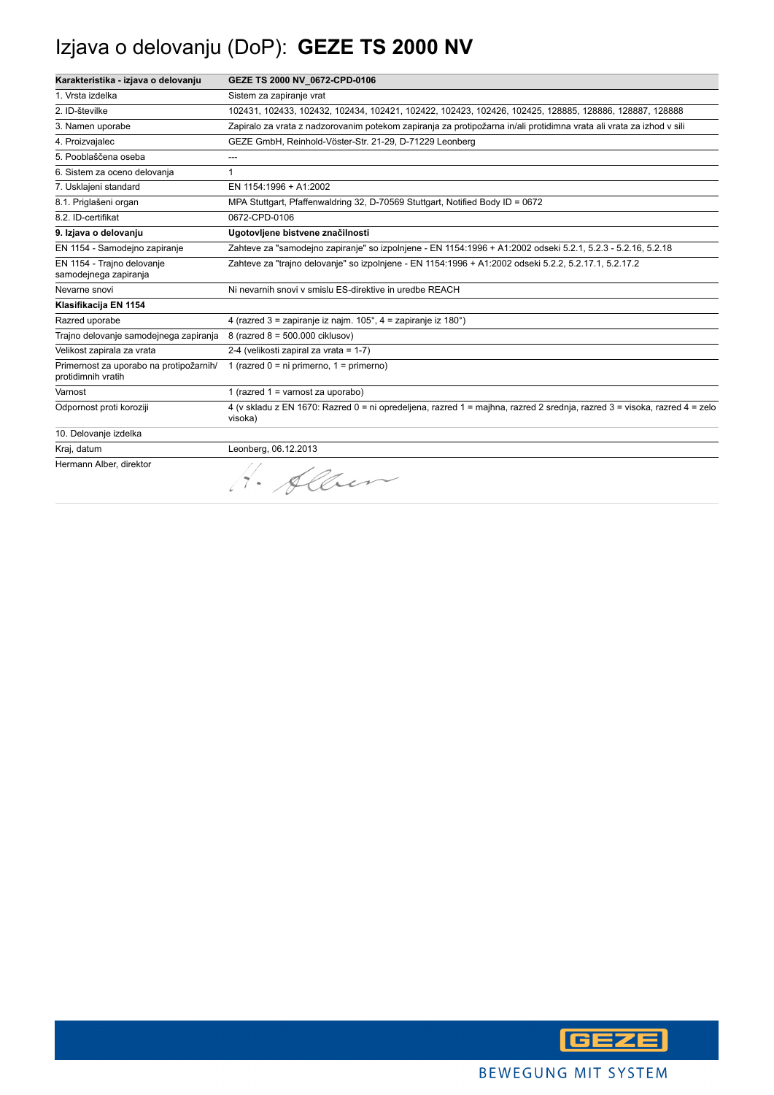## Izjava o delovanju (DoP): **GEZE TS 2000 NV**

| Karakteristika - izjava o delovanju                           | GEZE TS 2000 NV 0672-CPD-0106                                                                                                        |
|---------------------------------------------------------------|--------------------------------------------------------------------------------------------------------------------------------------|
| 1. Vrsta izdelka                                              | Sistem za zapiranje vrat                                                                                                             |
| 2. ID-številke                                                | 102431, 102433, 102432, 102434, 102421, 102422, 102423, 102426, 102425, 128885, 128886, 128887, 128888                               |
| 3. Namen uporabe                                              | Zapiralo za vrata z nadzorovanim potekom zapiranja za protipožarna in/ali protidimna vrata ali vrata za izhod v sili                 |
| 4. Proizvajalec                                               | GEZE GmbH, Reinhold-Vöster-Str. 21-29, D-71229 Leonberg                                                                              |
| 5. Pooblaščena oseba                                          | ---                                                                                                                                  |
| 6. Sistem za oceno delovanja                                  | 1                                                                                                                                    |
| 7. Usklajeni standard                                         | EN 1154:1996 + A1:2002                                                                                                               |
| 8.1. Priglašeni organ                                         | MPA Stuttgart, Pfaffenwaldring 32, D-70569 Stuttgart, Notified Body ID = 0672                                                        |
| 8.2. ID-certifikat                                            | 0672-CPD-0106                                                                                                                        |
| 9. Izjava o delovanju                                         | Ugotovljene bistvene značilnosti                                                                                                     |
| EN 1154 - Samodejno zapiranje                                 | Zahteve za "samodejno zapiranje" so izpolnjene - EN 1154:1996 + A1:2002 odseki 5.2.1, 5.2.3 - 5.2.16, 5.2.18                         |
| EN 1154 - Trajno delovanje<br>samodejnega zapiranja           | Zahteve za "trajno delovanje" so izpolnjene - EN 1154:1996 + A1:2002 odseki 5.2.2, 5.2.17.1, 5.2.17.2                                |
| Nevarne snovi                                                 | Ni nevarnih snovi v smislu ES-direktive in uredbe REACH                                                                              |
| Klasifikacija EN 1154                                         |                                                                                                                                      |
| Razred uporabe                                                | 4 (razred 3 = zapiranje iz najm. 105°, 4 = zapiranje iz 180°)                                                                        |
| Trajno delovanje samodejnega zapiranja                        | 8 (razred 8 = 500.000 ciklusov)                                                                                                      |
| Velikost zapirala za vrata                                    | 2-4 (velikosti zapiral za vrata = 1-7)                                                                                               |
| Primernost za uporabo na protipožarnih/<br>protidimnih vratih | 1 (razred $0 = ni$ primerno, $1 = p$ rimerno)                                                                                        |
| Varnost                                                       | 1 (razred $1 =$ varnost za uporabo)                                                                                                  |
| Odpornost proti koroziji                                      | 4 (v skladu z EN 1670: Razred 0 = ni opredeljena, razred 1 = majhna, razred 2 srednja, razred 3 = visoka, razred 4 = zelo<br>visoka) |
| 10. Delovanje izdelka                                         |                                                                                                                                      |
| Kraj, datum                                                   | Leonberg, 06.12.2013                                                                                                                 |
| Hermann Alber, direktor                                       | 1. Allen                                                                                                                             |

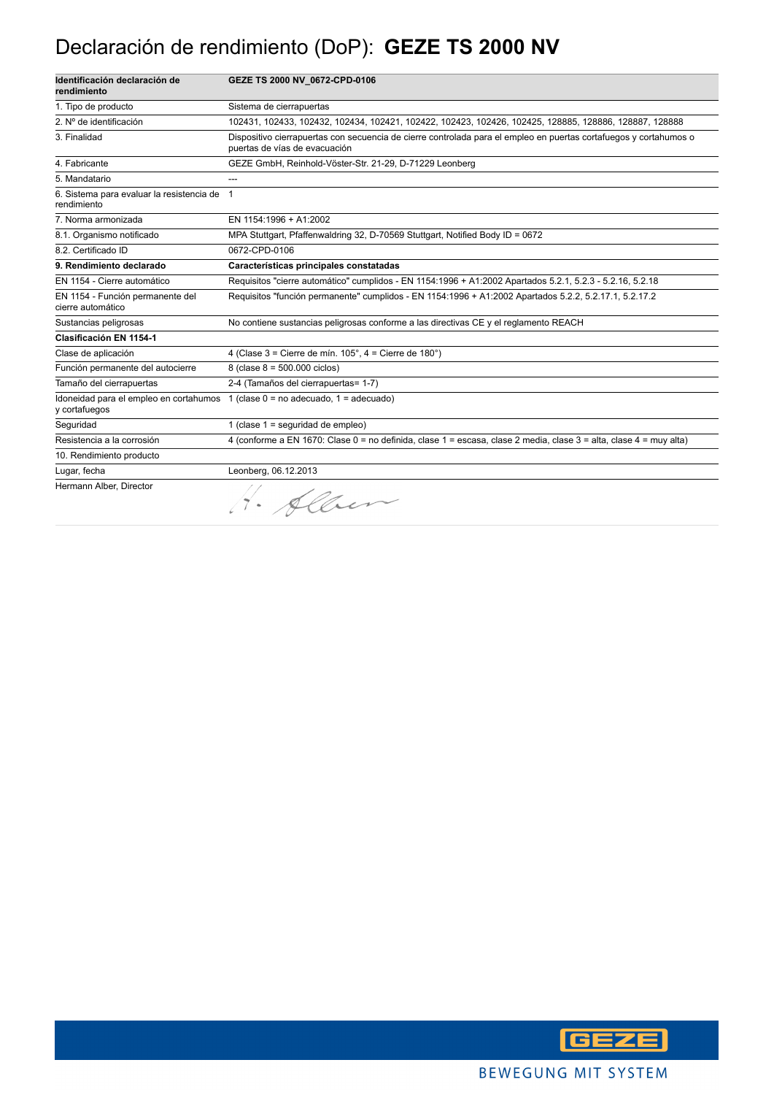#### Declaración de rendimiento (DoP): **GEZE TS 2000 NV**

| Identificación declaración de<br>rendimiento               | GEZE TS 2000 NV_0672-CPD-0106                                                                                                                      |
|------------------------------------------------------------|----------------------------------------------------------------------------------------------------------------------------------------------------|
| 1. Tipo de producto                                        | Sistema de cierrapuertas                                                                                                                           |
| 2. Nº de identificación                                    | 102431, 102433, 102432, 102434, 102421, 102422, 102423, 102426, 102425, 128885, 128886, 128887, 128888                                             |
| 3. Finalidad                                               | Dispositivo cierrapuertas con secuencia de cierre controlada para el empleo en puertas cortafuegos y cortahumos o<br>puertas de vías de evacuación |
| 4. Fabricante                                              | GEZE GmbH, Reinhold-Vöster-Str. 21-29, D-71229 Leonberg                                                                                            |
| 5. Mandatario                                              | ---                                                                                                                                                |
| 6. Sistema para evaluar la resistencia de 1<br>rendimiento |                                                                                                                                                    |
| 7. Norma armonizada                                        | EN 1154:1996 + A1:2002                                                                                                                             |
| 8.1. Organismo notificado                                  | MPA Stuttgart, Pfaffenwaldring 32, D-70569 Stuttgart, Notified Body ID = 0672                                                                      |
| 8.2. Certificado ID                                        | 0672-CPD-0106                                                                                                                                      |
| 9. Rendimiento declarado                                   | Características principales constatadas                                                                                                            |
| EN 1154 - Cierre automático                                | Requisitos "cierre automático" cumplidos - EN 1154:1996 + A1:2002 Apartados 5.2.1, 5.2.3 - 5.2.16, 5.2.18                                          |
| EN 1154 - Función permanente del<br>cierre automático      | Requisitos "función permanente" cumplidos - EN 1154:1996 + A1:2002 Apartados 5.2.2, 5.2.17.1, 5.2.17.2                                             |
| Sustancias peligrosas                                      | No contiene sustancias peligrosas conforme a las directivas CE y el reglamento REACH                                                               |
| <b>Clasificación EN 1154-1</b>                             |                                                                                                                                                    |
| Clase de aplicación                                        | 4 (Clase $3 =$ Cierre de mín. $105^\circ$ , $4 =$ Cierre de $180^\circ$ )                                                                          |
| Función permanente del autocierre                          | 8 (clase $8 = 500.000$ ciclos)                                                                                                                     |
| Tamaño del cierrapuertas                                   | 2-4 (Tamaños del cierrapuertas= 1-7)                                                                                                               |
| y cortafuegos                                              | Idoneidad para el empleo en cortahumos $1$ (clase $0 =$ no adecuado, $1 =$ adecuado)                                                               |
| Seguridad                                                  | 1 (clase $1 =$ seguridad de empleo)                                                                                                                |
| Resistencia a la corrosión                                 | 4 (conforme a EN 1670: Clase 0 = no definida, clase 1 = escasa, clase 2 media, clase 3 = alta, clase 4 = muy alta)                                 |
| 10. Rendimiento producto                                   |                                                                                                                                                    |
| Lugar, fecha                                               | Leonberg, 06.12.2013                                                                                                                               |
| Hermann Alber, Director                                    | Nev                                                                                                                                                |

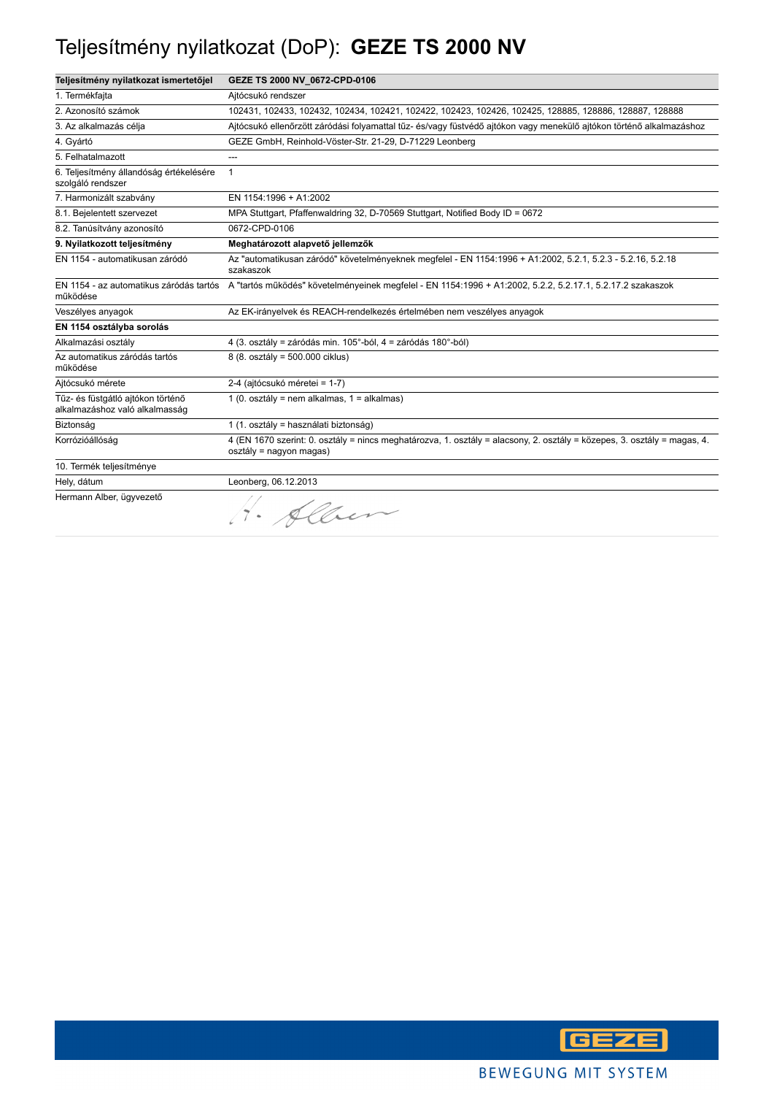## Teljesítmény nyilatkozat (DoP): **GEZE TS 2000 NV**

| Teljesítmény nyilatkozat ismertetőjel                               | GEZE TS 2000 NV_0672-CPD-0106                                                                                                                       |
|---------------------------------------------------------------------|-----------------------------------------------------------------------------------------------------------------------------------------------------|
| 1. Termékfajta                                                      | Aitócsukó rendszer                                                                                                                                  |
| 2. Azonosító számok                                                 | 102431, 102433, 102432, 102434, 102421, 102422, 102423, 102426, 102425, 128885, 128886, 128887, 128888                                              |
| 3. Az alkalmazás célja                                              | Ajtócsukó ellenőrzött záródási folyamattal tűz- és/vagy füstvédő ajtókon vagy menekülő ajtókon történő alkalmazáshoz                                |
| 4. Gyártó                                                           | GEZE GmbH, Reinhold-Vöster-Str. 21-29, D-71229 Leonberg                                                                                             |
| 5. Felhatalmazott                                                   | ---                                                                                                                                                 |
| 6. Teljesítmény állandóság értékelésére<br>szolgáló rendszer        | $\mathbf{1}$                                                                                                                                        |
| 7. Harmonizált szabvány                                             | EN 1154:1996 + A1:2002                                                                                                                              |
| 8.1. Bejelentett szervezet                                          | MPA Stuttgart, Pfaffenwaldring 32, D-70569 Stuttgart, Notified Body ID = 0672                                                                       |
| 8.2. Tanúsítvány azonosító                                          | 0672-CPD-0106                                                                                                                                       |
| 9. Nyilatkozott teljesítmény                                        | Meghatározott alapvető jellemzők                                                                                                                    |
| EN 1154 - automatikusan záródó                                      | Az "automatikusan záródó" követelményeknek megfelel - EN 1154:1996 + A1:2002, 5.2.1, 5.2.3 - 5.2.16, 5.2.18<br>szakaszok                            |
| működése                                                            | EN 1154 - az automatikus záródás tartós A "tartós működés" követelményeinek megfelel - EN 1154:1996 + A1:2002, 5.2.2, 5.2.17.1, 5.2.17.2 szakaszok  |
| Veszélyes anyagok                                                   | Az EK-irányelvek és REACH-rendelkezés értelmében nem veszélyes anyagok                                                                              |
| EN 1154 osztályba sorolás                                           |                                                                                                                                                     |
| Alkalmazási osztály                                                 | 4 (3. osztály = záródás min. 105°-ból, 4 = záródás 180°-ból)                                                                                        |
| Az automatikus záródás tartós<br>működése                           | 8 (8. osztály = 500.000 ciklus)                                                                                                                     |
| Aitócsukó mérete                                                    | 2-4 (ajtócsukó méretei = 1-7)                                                                                                                       |
| Tűz- és füstgátló ajtókon történő<br>alkalmazáshoz való alkalmasság | 1 (0. osztály = nem alkalmas, 1 = alkalmas)                                                                                                         |
| Biztonság                                                           | 1 (1. osztály = használati biztonság)                                                                                                               |
| Korrózióállóság                                                     | 4 (EN 1670 szerint: 0. osztály = nincs meghatározva, 1. osztály = alacsony, 2. osztály = közepes, 3. osztály = magas, 4.<br>osztály = nagyon magas) |
| 10. Termék teljesítménye                                            |                                                                                                                                                     |
| Hely, dátum                                                         | Leonberg, 06.12.2013                                                                                                                                |
| Hermann Alber, ügyvezető                                            | Alber                                                                                                                                               |

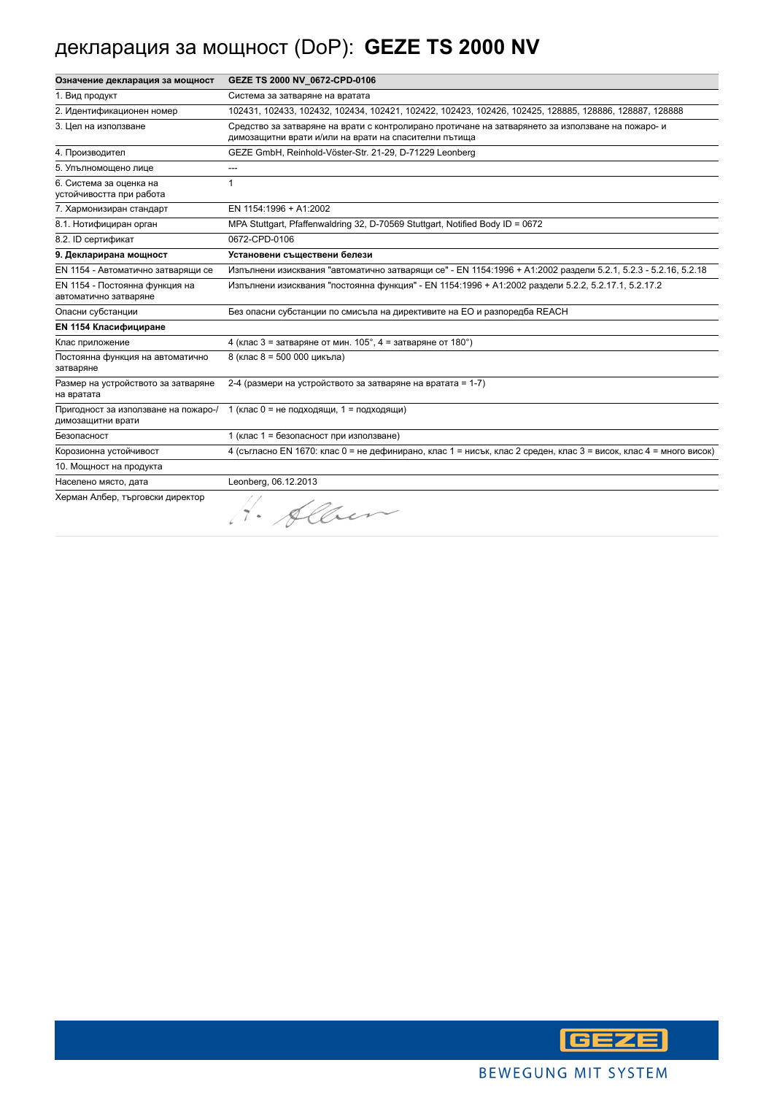## декларация за мощност (DoP): **GEZE TS 2000 NV**

| Означение декларация за мощност                           | GEZE TS 2000 NV_0672-CPD-0106                                                                                                                              |
|-----------------------------------------------------------|------------------------------------------------------------------------------------------------------------------------------------------------------------|
| 1. Вид продукт                                            | Система за затваряне на вратата                                                                                                                            |
| 2. Идентификационен номер                                 | 102431, 102433, 102432, 102434, 102421, 102422, 102423, 102426, 102425, 128885, 128886, 128887, 128888                                                     |
| 3. Цел на използване                                      | Средство за затваряне на врати с контролирано протичане на затварянето за използване на пожаро- и<br>димозащитни врати и/или на врати на спасителни пътища |
| 4. Производител                                           | GEZE GmbH, Reinhold-Vöster-Str. 21-29, D-71229 Leonberg                                                                                                    |
| 5. Упълномощено лице                                      |                                                                                                                                                            |
| 6. Система за оценка на<br>устойчивостта при работа       | $\mathbf{1}$                                                                                                                                               |
| 7. Хармонизиран стандарт                                  | EN 1154:1996 + A1:2002                                                                                                                                     |
| 8.1. Нотифициран орган                                    | MPA Stuttgart, Pfaffenwaldring 32, D-70569 Stuttgart, Notified Body ID = 0672                                                                              |
| 8.2. ID сертификат                                        | 0672-CPD-0106                                                                                                                                              |
| 9. Декларирана мощност                                    | Установени съществени белези                                                                                                                               |
| EN 1154 - Автоматично затварящи се                        | Изпълнени изисквания "автоматично затварящи се" - EN 1154:1996 + A1:2002 раздели 5.2.1, 5.2.3 - 5.2.16, 5.2.18                                             |
| EN 1154 - Постоянна функция на<br>автоматично затваряне   | Изпълнени изисквания "постоянна функция" - EN 1154:1996 + A1:2002 раздели 5.2.2, 5.2.17.1, 5.2.17.2                                                        |
| Опасни субстанции                                         | Без опасни субстанции по смисъла на директивите на ЕО и разпоредба REACH                                                                                   |
| <b>EN 1154 Класифициране</b>                              |                                                                                                                                                            |
| Клас приложение                                           | 4 (клас 3 = затваряне от мин. $105^\circ$ , 4 = затваряне от $180^\circ$ )                                                                                 |
| Постоянна функция на автоматично<br>затваряне             | 8 (клас 8 = 500 000 цикъла)                                                                                                                                |
| Размер на устройството за затваряне<br>на вратата         | 2-4 (размери на устройството за затваряне на вратата = 1-7)                                                                                                |
| Пригодност за използване на пожаро-/<br>димозащитни врати | 1 (клас 0 = не подходящи, 1 = подходящи)                                                                                                                   |
| Безопасност                                               | 1 (клас 1 = безопасност при използване)                                                                                                                    |
| Корозионна устойчивост                                    | 4 (съгласно EN 1670: клас 0 = не дефинирано, клас 1 = нисък, клас 2 среден, клас 3 = висок, клас 4 = много висок)                                          |
| 10. Мощност на продукта                                   |                                                                                                                                                            |
| Населено място, дата                                      | Leonberg, 06.12.2013                                                                                                                                       |
| Херман Албер, търговски директор                          | 1. Alber                                                                                                                                                   |

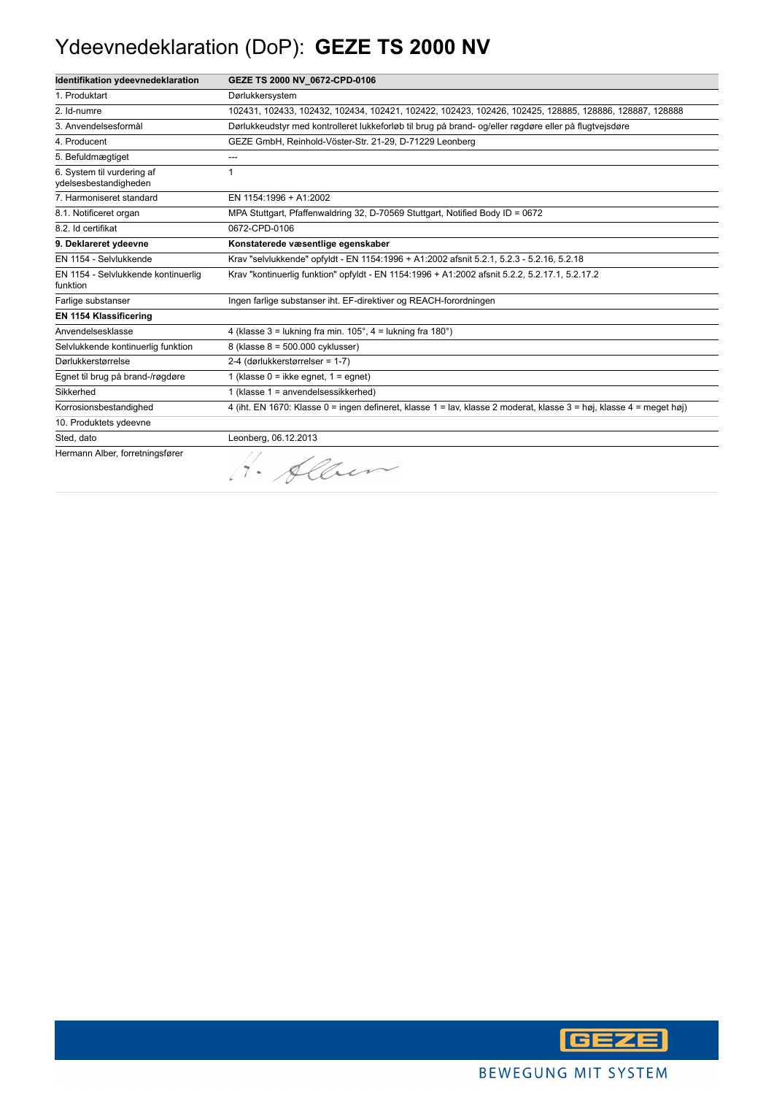## Ydeevnedeklaration (DoP): **GEZE TS 2000 NV**

| Identifikation ydeevnedeklaration                   | GEZE TS 2000 NV 0672-CPD-0106                                                                                        |
|-----------------------------------------------------|----------------------------------------------------------------------------------------------------------------------|
| 1. Produktart                                       | Dørlukkersystem                                                                                                      |
| 2. Id-numre                                         | 102431, 102433, 102432, 102434, 102421, 102422, 102423, 102426, 102425, 128885, 128886, 128887, 128888               |
| 3. Anvendelsesformål                                | Dørlukkeudstyr med kontrolleret lukkeforløb til brug på brand- og/eller røgdøre eller på flugtvejsdøre               |
| 4. Producent                                        | GEZE GmbH, Reinhold-Vöster-Str. 21-29, D-71229 Leonberg                                                              |
| 5. Befuldmægtiget                                   | ---                                                                                                                  |
| 6. System til vurdering af<br>ydelsesbestandigheden | 1                                                                                                                    |
| 7. Harmoniseret standard                            | EN 1154:1996 + A1:2002                                                                                               |
| 8.1. Notificeret organ                              | MPA Stuttgart, Pfaffenwaldring 32, D-70569 Stuttgart, Notified Body ID = 0672                                        |
| 8.2. Id certifikat                                  | 0672-CPD-0106                                                                                                        |
| 9. Deklareret ydeevne                               | Konstaterede væsentlige egenskaber                                                                                   |
| EN 1154 - Selvlukkende                              | Krav "selvlukkende" opfyldt - EN 1154:1996 + A1:2002 afsnit 5.2.1, 5.2.3 - 5.2.16, 5.2.18                            |
| EN 1154 - Selvlukkende kontinuerlig<br>funktion     | Krav "kontinuerlig funktion" opfyldt - EN 1154:1996 + A1:2002 afsnit 5.2.2, 5.2.17.1, 5.2.17.2                       |
| Farlige substanser                                  | Ingen farlige substanser iht. EF-direktiver og REACH-forordningen                                                    |
| EN 1154 Klassificering                              |                                                                                                                      |
| Anvendelsesklasse                                   | 4 (klasse $3 =$ lukning fra min. $105^\circ$ , $4 =$ lukning fra $180^\circ$ )                                       |
| Selvlukkende kontinuerlig funktion                  | 8 (klasse 8 = 500.000 cyklusser)                                                                                     |
| Dørlukkerstørrelse                                  | 2-4 (dørlukkerstørrelser = 1-7)                                                                                      |
| Egnet til brug på brand-/røgdøre                    | 1 (klasse $0 =$ ikke egnet, $1 =$ egnet)                                                                             |
| Sikkerhed                                           | 1 (klasse 1 = anvendelsessikkerhed)                                                                                  |
| Korrosionsbestandighed                              | 4 (iht. EN 1670: Klasse 0 = ingen defineret, klasse 1 = lav, klasse 2 moderat, klasse 3 = høj, klasse 4 = meget høj) |
| 10. Produktets ydeevne                              |                                                                                                                      |
| Sted, dato                                          | Leonberg, 06.12.2013                                                                                                 |
| Hermann Alber, forretningsfører                     | 1. Alber                                                                                                             |

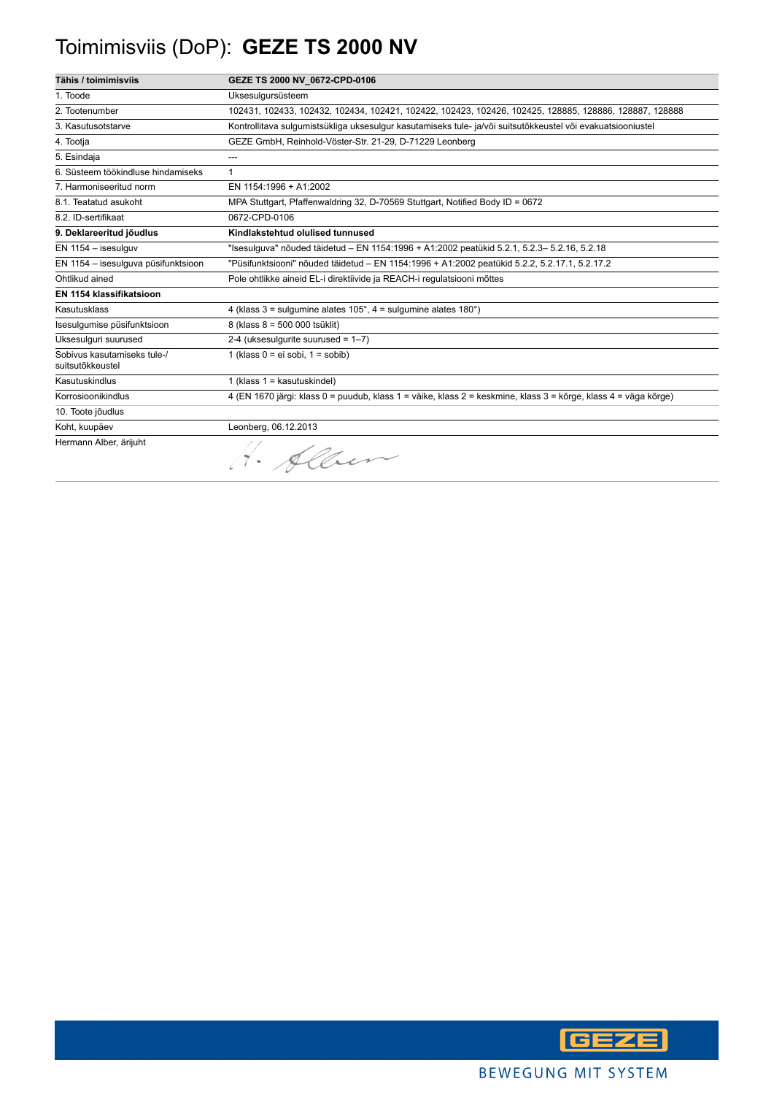## Toimimisviis (DoP): **GEZE TS 2000 NV**

| Tähis / toimimisviis                            | GEZE TS 2000 NV_0672-CPD-0106                                                                                   |
|-------------------------------------------------|-----------------------------------------------------------------------------------------------------------------|
| 1. Toode                                        | Uksesulgursüsteem                                                                                               |
| 2. Tootenumber                                  | 102431, 102433, 102432, 102434, 102421, 102422, 102423, 102426, 102425, 128885, 128886, 128887, 128888          |
| 3. Kasutusotstarve                              | Kontrollitava sulgumistsükliga uksesulgur kasutamiseks tule- ja/või suitsutõkkeustel või evakuatsiooniustel     |
| 4. Tootja                                       | GEZE GmbH, Reinhold-Vöster-Str. 21-29, D-71229 Leonberg                                                         |
| 5. Esindaja                                     | ---                                                                                                             |
| 6. Süsteem töökindluse hindamiseks              | 1                                                                                                               |
| 7. Harmoniseeritud norm                         | EN 1154:1996 + A1:2002                                                                                          |
| 8.1. Teatatud asukoht                           | MPA Stuttgart, Pfaffenwaldring 32, D-70569 Stuttgart, Notified Body ID = 0672                                   |
| 8.2. ID-sertifikaat                             | 0672-CPD-0106                                                                                                   |
| 9. Deklareeritud jõudlus                        | Kindlakstehtud olulised tunnused                                                                                |
| EN 1154 - isesulguv                             | "Isesulguva" nõuded täidetud – EN 1154:1996 + A1:2002 peatükid 5.2.1, 5.2.3– 5.2.16, 5.2.18                     |
| EN 1154 - isesulguva püsifunktsioon             | "Püsifunktsiooni" nõuded täidetud - EN 1154:1996 + A1:2002 peatükid 5.2.2, 5.2.17.1, 5.2.17.2                   |
| Ohtlikud ained                                  | Pole ohtlikke aineid EL-i direktiivide ja REACH-i regulatsiooni mõttes                                          |
| EN 1154 klassifikatsioon                        |                                                                                                                 |
| Kasutusklass                                    | 4 (klass $3 =$ sulgumine alates $105^\circ$ , $4 =$ sulgumine alates $180^\circ$ )                              |
| Isesulgumise püsifunktsioon                     | 8 (klass 8 = 500 000 tsüklit)                                                                                   |
| Uksesulguri suurused                            | 2-4 (uksesulgurite suurused = $1-7$ )                                                                           |
| Sobivus kasutamiseks tule-/<br>suitsutõkkeustel | 1 (klass $0 = ei$ sobi, $1 = s$ obib)                                                                           |
| Kasutuskindlus                                  | 1 (klass $1 =$ kasutuskindel)                                                                                   |
| Korrosioonikindlus                              | 4 (EN 1670 järgi: klass 0 = puudub, klass 1 = väike, klass 2 = keskmine, klass 3 = kõrge, klass 4 = väga kõrge) |
| 10. Toote jõudlus                               |                                                                                                                 |
| Koht, kuupäev                                   | Leonberg, 06.12.2013                                                                                            |
| Hermann Alber, ärijuht                          | H. Alber                                                                                                        |

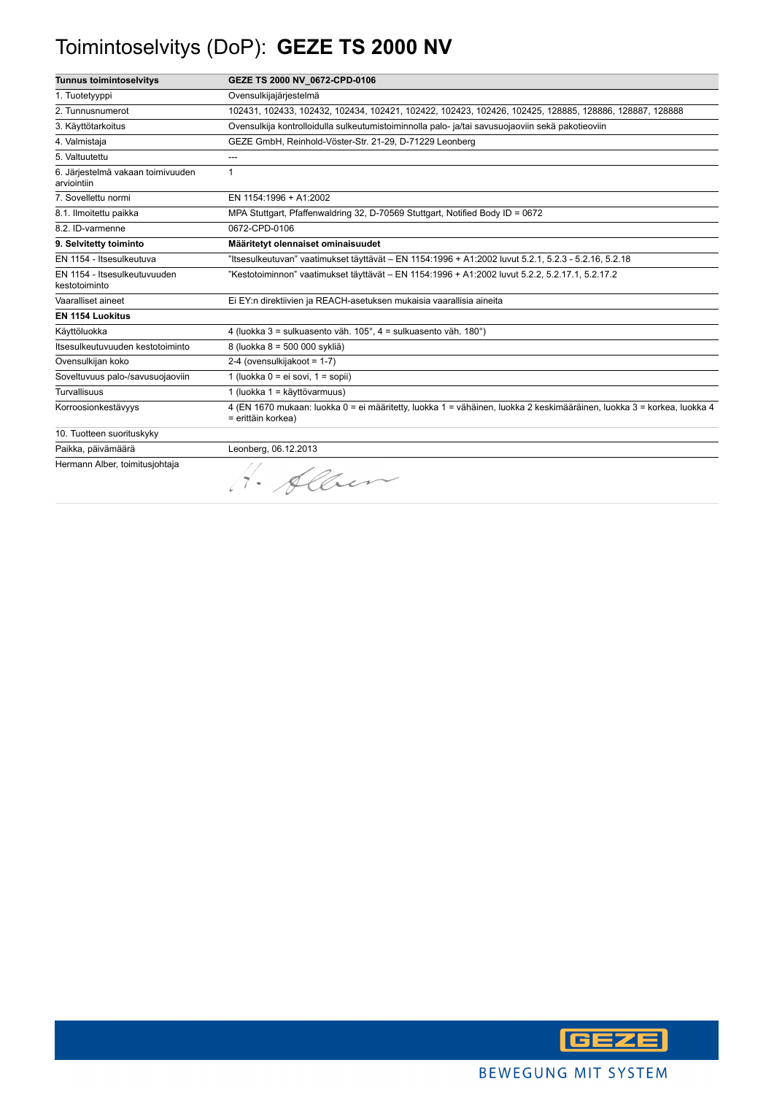## Toimintoselvitys (DoP): **GEZE TS 2000 NV**

| <b>Tunnus toimintoselvitys</b>                   | GEZE TS 2000 NV_0672-CPD-0106                                                                                                                |
|--------------------------------------------------|----------------------------------------------------------------------------------------------------------------------------------------------|
| 1. Tuotetyyppi                                   | Ovensulkijajärjestelmä                                                                                                                       |
| 2. Tunnusnumerot                                 | 102431, 102433, 102432, 102434, 102421, 102422, 102423, 102426, 102425, 128885, 128886, 128887, 128888                                       |
| 3. Käyttötarkoitus                               | Ovensulkija kontrolloidulla sulkeutumistoiminnolla palo- ja/tai savusuojaoviin sekä pakotieoviin                                             |
| 4. Valmistaja                                    | GEZE GmbH, Reinhold-Vöster-Str. 21-29, D-71229 Leonberg                                                                                      |
| 5. Valtuutettu                                   | ---                                                                                                                                          |
| 6. Järjestelmä vakaan toimivuuden<br>arviointiin | $\mathbf{1}$                                                                                                                                 |
| 7. Sovellettu normi                              | EN 1154:1996 + A1:2002                                                                                                                       |
| 8.1. Ilmoitettu paikka                           | MPA Stuttgart, Pfaffenwaldring 32, D-70569 Stuttgart, Notified Body ID = 0672                                                                |
| 8.2. ID-varmenne                                 | 0672-CPD-0106                                                                                                                                |
| 9. Selvitetty toiminto                           | Määritetyt olennaiset ominaisuudet                                                                                                           |
| EN 1154 - Itsesulkeutuva                         | "Itsesulkeutuvan" vaatimukset täyttävät – EN 1154:1996 + A1:2002 luvut 5.2.1, 5.2.3 - 5.2.16, 5.2.18                                         |
| EN 1154 - Itsesulkeutuvuuden<br>kestotoiminto    | "Kestotoiminnon" vaatimukset täyttävät - EN 1154:1996 + A1:2002 luvut 5.2.2, 5.2.17.1, 5.2.17.2                                              |
| Vaaralliset aineet                               | Ei EY:n direktiivien ja REACH-asetuksen mukaisia vaarallisia aineita                                                                         |
| <b>EN 1154 Luokitus</b>                          |                                                                                                                                              |
| Käyttöluokka                                     | 4 (luokka 3 = sulkuasento väh. 105°, 4 = sulkuasento väh. 180°)                                                                              |
| Itsesulkeutuvuuden kestotoiminto                 | 8 (luokka 8 = 500 000 sykliä)                                                                                                                |
| Ovensulkijan koko                                | 2-4 (ovensulkijakoot = 1-7)                                                                                                                  |
| Soveltuvuus palo-/savusuojaoviin                 | 1 (luokka $0 = ei$ sovi, $1 = sopii$ )                                                                                                       |
| Turvallisuus                                     | 1 (luokka 1 = käyttövarmuus)                                                                                                                 |
| Korroosionkestävyys                              | 4 (EN 1670 mukaan: luokka 0 = ei määritetty, luokka 1 = vähäinen, luokka 2 keskimääräinen, luokka 3 = korkea, luokka 4<br>= erittäin korkea) |
| 10. Tuotteen suorituskyky                        |                                                                                                                                              |
| Paikka, päivämäärä                               | Leonberg, 06.12.2013                                                                                                                         |
| Hermann Alber, toimitusjohtaja                   | 1. Alber                                                                                                                                     |

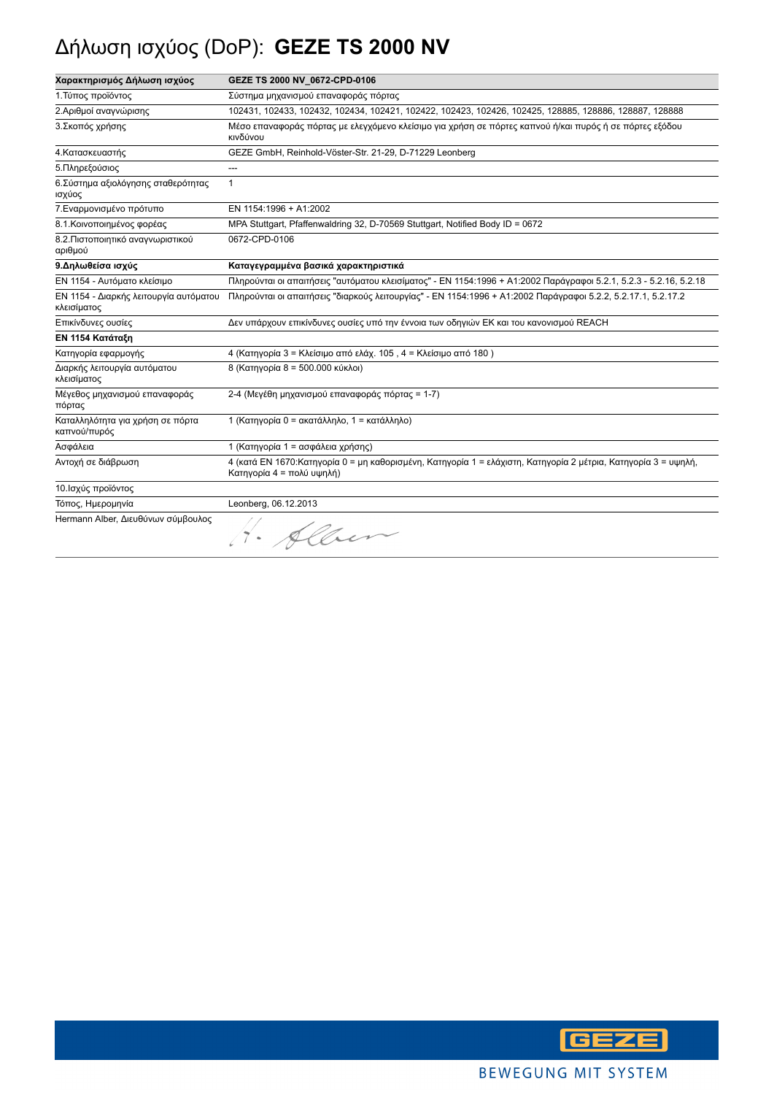# Δήλωση ισχύος (DoP): **GEZE TS 2000 NV**

| Χαρακτηρισμός Δήλωση ισχύος                           | GEZE TS 2000 NV 0672-CPD-0106                                                                                                               |
|-------------------------------------------------------|---------------------------------------------------------------------------------------------------------------------------------------------|
| 1. Τύπος προϊόντος                                    | Σύστημα μηχανισμού επαναφοράς πόρτας                                                                                                        |
| 2.Αριθμοί αναγνώρισης                                 | 102431, 102433, 102432, 102434, 102421, 102422, 102423, 102426, 102425, 128885, 128886, 128887, 128888                                      |
| 3. Σκοπός χρήσης                                      | Μέσο επαναφοράς πόρτας με ελεγχόμενο κλείσιμο για χρήση σε πόρτες καπνού ή/και πυρός ή σε πόρτες εξόδου<br>κινδύνου                         |
| 4. Κατασκευαστής                                      | GEZE GmbH, Reinhold-Vöster-Str. 21-29, D-71229 Leonberg                                                                                     |
| 5. Πληρεξούσιος                                       | ---                                                                                                                                         |
| 6. Σύστημα αξιολόγησης σταθερότητας<br>ισχύος         | $\mathbf{1}$                                                                                                                                |
| 7. Εναρμονισμένο πρότυπο                              | EN 1154:1996 + A1:2002                                                                                                                      |
| 8.1. Κοινοποιημένος φορέας                            | MPA Stuttgart, Pfaffenwaldring 32, D-70569 Stuttgart, Notified Body ID = 0672                                                               |
| 8.2. Πιστοποιητικό αναγνωριστικού<br>αριθμού          | 0672-CPD-0106                                                                                                                               |
| 9. Δηλωθείσα ισχύς                                    | Καταγεγραμμένα βασικά χαρακτηριστικά                                                                                                        |
| ΕΝ 1154 - Αυτόματο κλείσιμο                           | Πληρούνται οι απαιτήσεις "αυτόματου κλεισίματος" - EN 1154:1996 + A1:2002 Παράγραφοι 5.2.1, 5.2.3 - 5.2.16, 5.2.18                          |
| ΕΝ 1154 - Διαρκής λειτουργία αυτόματου<br>κλεισίματος | Πληρούνται οι απαιτήσεις "διαρκούς λειτουργίας" - ΕΝ 1154:1996 + Α1:2002 Παράγραφοι 5.2.2, 5.2.17.1, 5.2.17.2                               |
| Επικίνδυνες ουσίες                                    | Δεν υπάρχουν επικίνδυνες ουσίες υπό την έννοια των οδηγιών ΕΚ και του κανονισμού REACH                                                      |
| ΕΝ 1154 Κατάταξη                                      |                                                                                                                                             |
| Κατηγορία εφαρμογής                                   | 4 (Κατηγορία 3 = Κλείσιμο από ελάχ. 105, 4 = Κλείσιμο από 180)                                                                              |
| Διαρκής λειτουργία αυτόματου<br>κλεισίματος           | 8 (Κατηγορία 8 = 500.000 κύκλοι)                                                                                                            |
| Μέγεθος μηχανισμού επαναφοράς<br>πόρτας               | 2-4 (Μεγέθη μηχανισμού επαναφοράς πόρτας = 1-7)                                                                                             |
| Καταλληλότητα για χρήση σε πόρτα<br>καπνού/πυρός      | 1 (Κατηγορία 0 = ακατάλληλο, 1 = κατάλληλο)                                                                                                 |
| Ασφάλεια                                              | 1 (Κατηγορία 1 = ασφάλεια χρήσης)                                                                                                           |
| Αντοχή σε διάβρωση                                    | 4 (κατά ΕΝ 1670:Κατηγορία 0 = μη καθορισμένη, Κατηγορία 1 = ελάχιστη, Κατηγορία 2 μέτρια, Κατηγορία 3 = υψηλή,<br>Κατηγορία 4 = πολύ υψηλή) |
| 10. Ισχύς προϊόντος                                   |                                                                                                                                             |
| Τόπος, Ημερομηνία                                     | Leonberg, 06.12.2013                                                                                                                        |
| Hermann Alber, Διευθύνων σύμβουλος                    | H. Alben                                                                                                                                    |

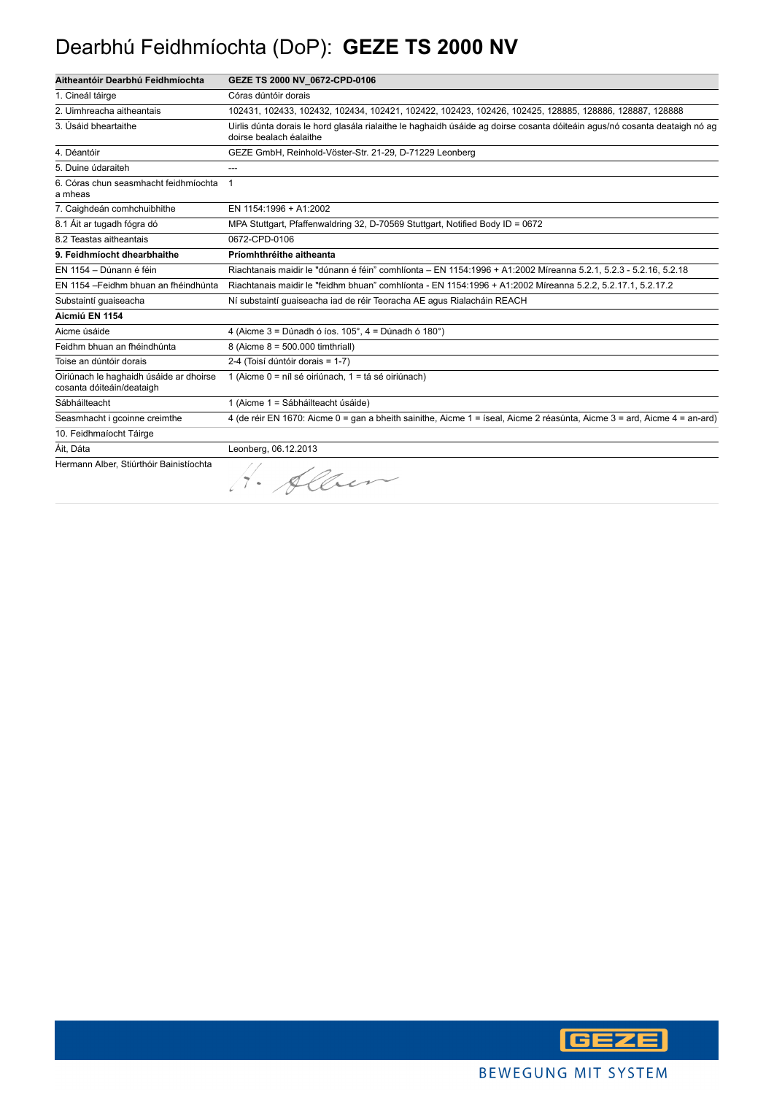#### Dearbhú Feidhmíochta (DoP): **GEZE TS 2000 NV**

| Aitheantóir Dearbhú Feidhmíochta                                     | GEZE TS 2000 NV_0672-CPD-0106                                                                                                                         |
|----------------------------------------------------------------------|-------------------------------------------------------------------------------------------------------------------------------------------------------|
| 1. Cineál táirge                                                     | Córas dúntóir dorais                                                                                                                                  |
| 2. Uimhreacha aitheantais                                            | 102431, 102433, 102432, 102434, 102421, 102422, 102423, 102426, 102425, 128885, 128886, 128887, 128888                                                |
| 3. Úsáid bheartaithe                                                 | Uirlis dúnta dorais le hord glasála rialaithe le haghaidh úsáide ag doirse cosanta dóiteáin agus/nó cosanta deataigh nó ag<br>doirse bealach éalaithe |
| 4. Déantóir                                                          | GEZE GmbH, Reinhold-Vöster-Str. 21-29, D-71229 Leonberg                                                                                               |
| 5. Duine údaraiteh                                                   | ---                                                                                                                                                   |
| 6. Córas chun seasmhacht feidhmíochta<br>a mheas                     | 1                                                                                                                                                     |
| 7. Caighdeán comhchuibhithe                                          | EN 1154:1996 + A1:2002                                                                                                                                |
| 8.1 Áit ar tugadh fógra dó                                           | MPA Stuttgart, Pfaffenwaldring 32, D-70569 Stuttgart, Notified Body ID = 0672                                                                         |
| 8.2 Teastas aitheantais                                              | 0672-CPD-0106                                                                                                                                         |
| 9. Feidhmíocht dhearbhaithe                                          | Príomhthréithe aitheanta                                                                                                                              |
| EN 1154 - Dúnann é féin                                              | Riachtanais maidir le "dúnann é féin" comhlíonta - EN 1154:1996 + A1:2002 Míreanna 5.2.1, 5.2.3 - 5.2.16, 5.2.18                                      |
| EN 1154 - Feidhm bhuan an fhéindhúnta                                | Riachtanais maidir le "feidhm bhuan" comhlíonta - EN 1154:1996 + A1:2002 Míreanna 5.2.2, 5.2.17.1, 5.2.17.2                                           |
| Substaintí guaiseacha                                                | Ní substaintí guaiseacha iad de réir Teoracha AE agus Rialacháin REACH                                                                                |
| Aicmiú EN 1154                                                       |                                                                                                                                                       |
| Aicme úsáide                                                         | 4 (Aicme $3 =$ Dúnadh ó íos. 105°, $4 =$ Dúnadh ó 180°)                                                                                               |
| Feidhm bhuan an fhéindhúnta                                          | 8 (Aicme 8 = 500.000 timthriall)                                                                                                                      |
| Toise an dúntóir dorais                                              | 2-4 (Toisí dúntóir dorais = 1-7)                                                                                                                      |
| Oiriúnach le haghaidh úsáide ar dhoirse<br>cosanta dóiteáin/deataigh | 1 (Aicme 0 = níl sé oiriúnach, 1 = tá sé oiriúnach)                                                                                                   |
| Sábháilteacht                                                        | 1 (Aicme 1 = Sábháilteacht úsáide)                                                                                                                    |
| Seasmhacht i gcoinne creimthe                                        | 4 (de réir EN 1670: Aicme 0 = gan a bheith sainithe, Aicme 1 = íseal, Aicme 2 réasúnta, Aicme 3 = ard, Aicme 4 = an-ard)                              |
| 10. Feidhmaíocht Táirge                                              |                                                                                                                                                       |
| Áit, Dáta                                                            | Leonberg, 06.12.2013                                                                                                                                  |
| Hermann Alber, Stiúrthóir Bainistíochta                              | 00.                                                                                                                                                   |

 $\eta \cdot \rho$ llier

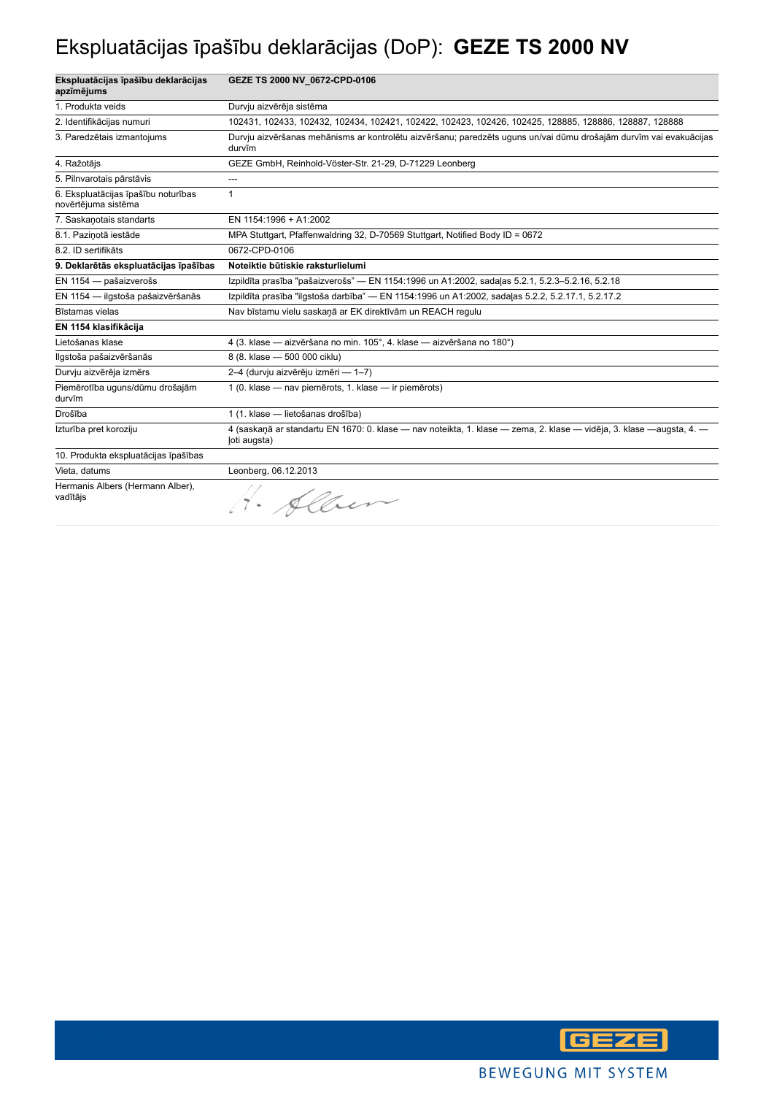## Ekspluatācijas īpašību deklarācijas (DoP): **GEZE TS 2000 NV**

| Ekspluatācijas īpašību deklarācijas<br>apzīmējums          | GEZE TS 2000 NV 0672-CPD-0106                                                                                                        |
|------------------------------------------------------------|--------------------------------------------------------------------------------------------------------------------------------------|
| 1. Produkta veids                                          | Durvju aizvērēja sistēma                                                                                                             |
| 2. Identifikācijas numuri                                  | 102431, 102433, 102432, 102434, 102421, 102422, 102423, 102426, 102425, 128885, 128886, 128887, 128888                               |
| 3. Paredzētais izmantojums                                 | Durvju aizvēršanas mehānisms ar kontrolētu aizvēršanu; paredzēts uguns un/vai dūmu drošajām durvīm vai evakuācijas<br>durvīm         |
| 4. Ražotājs                                                | GEZE GmbH, Reinhold-Vöster-Str. 21-29, D-71229 Leonberg                                                                              |
| 5. Pilnvarotais pārstāvis                                  | ---                                                                                                                                  |
| 6. Ekspluatācijas īpašību noturības<br>novērtējuma sistēma | 1                                                                                                                                    |
| 7. Saskanotais standarts                                   | EN 1154:1996 + A1:2002                                                                                                               |
| 8.1. Paziņotā iestāde                                      | MPA Stuttgart, Pfaffenwaldring 32, D-70569 Stuttgart, Notified Body ID = 0672                                                        |
| 8.2. ID sertifikāts                                        | 0672-CPD-0106                                                                                                                        |
| 9. Deklarētās ekspluatācijas īpašības                      | Noteiktie būtiskie raksturlielumi                                                                                                    |
| EN 1154 - pašaizverošs                                     | Izpildīta prasība "pašaizverošs" — EN 1154:1996 un A1:2002, sadaļas 5.2.1, 5.2.3-5.2.16, 5.2.18                                      |
| EN 1154 - ilgstoša pašaizvēršanās                          | Izpildīta prasība "ilgstoša darbība" — EN 1154:1996 un A1:2002, sadaļas 5.2.2, 5.2.17.1, 5.2.17.2                                    |
| Bīstamas vielas                                            | Nav bīstamu vielu saskaņā ar EK direktīvām un REACH regulu                                                                           |
| EN 1154 klasifikācija                                      |                                                                                                                                      |
| Lietošanas klase                                           | 4 (3. klase - aizvēršana no min. 105°, 4. klase - aizvēršana no 180°)                                                                |
| Ilgstoša pašaizvēršanās                                    | 8 (8. klase - 500 000 ciklu)                                                                                                         |
| Durvju aizvērēja izmērs                                    | 2-4 (durvju aizvērēju izmēri — 1-7)                                                                                                  |
| Piemērotība uguns/dūmu drošajām<br>durvīm                  | 1 (0. klase - nav piemērots, 1. klase - ir piemērots)                                                                                |
| Drošība                                                    | 1 (1. klase - lietošanas drošība)                                                                                                    |
| Izturība pret koroziju                                     | 4 (saskanā ar standartu EN 1670: 0. klase — nav noteikta, 1. klase — zema, 2. klase — vidēja, 3. klase —augsta, 4. —<br>(oti augsta) |
| 10. Produkta ekspluatācijas īpašības                       |                                                                                                                                      |
| Vieta, datums                                              | Leonberg, 06.12.2013                                                                                                                 |
| Hermanis Albers (Hermann Alber),<br>vadītājs               |                                                                                                                                      |

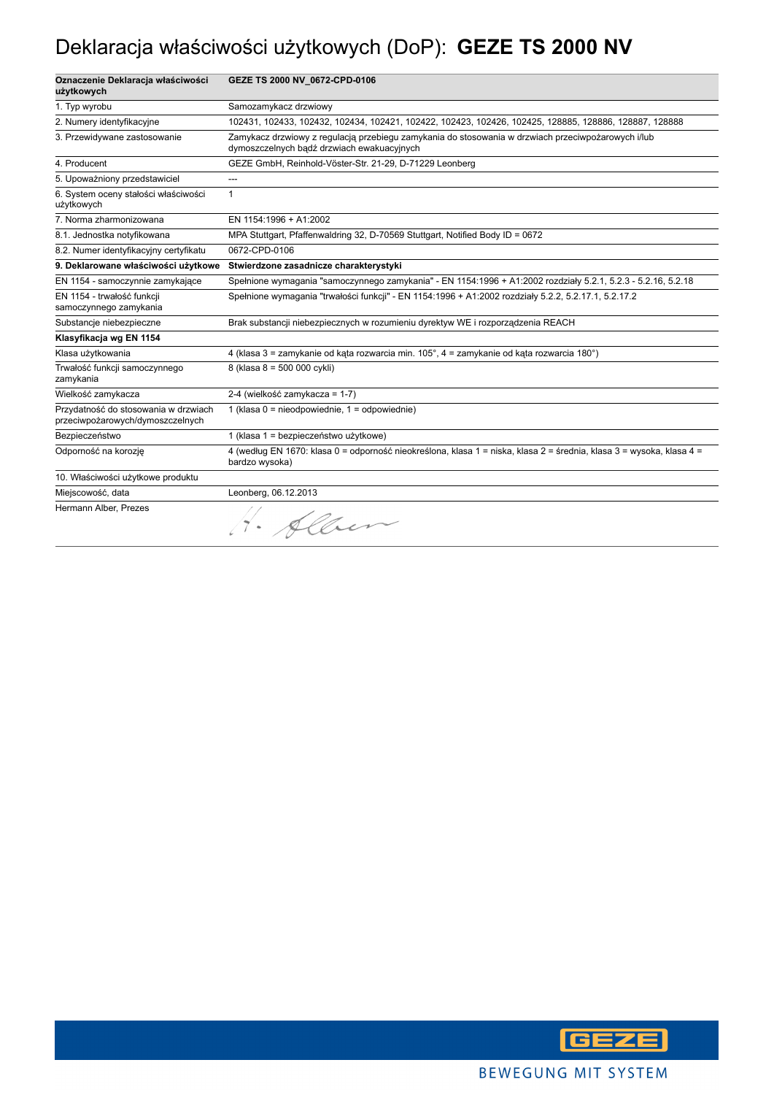## Deklaracja właściwości użytkowych (DoP): **GEZE TS 2000 NV**

| Oznaczenie Deklaracja właściwości<br>użytkowych                          | GEZE TS 2000 NV_0672-CPD-0106                                                                                                                    |
|--------------------------------------------------------------------------|--------------------------------------------------------------------------------------------------------------------------------------------------|
| 1. Typ wyrobu                                                            | Samozamykacz drzwiowy                                                                                                                            |
| 2. Numery identyfikacyjne                                                | 102431, 102433, 102432, 102434, 102421, 102422, 102423, 102426, 102425, 128885, 128886, 128887, 128888                                           |
| 3. Przewidywane zastosowanie                                             | Zamykacz drzwiowy z regulacją przebiegu zamykania do stosowania w drzwiach przeciwpożarowych i/lub<br>dymoszczelnych bądź drzwiach ewakuacyjnych |
| 4. Producent                                                             | GEZE GmbH, Reinhold-Vöster-Str. 21-29, D-71229 Leonberg                                                                                          |
| 5. Upoważniony przedstawiciel                                            | ---                                                                                                                                              |
| 6. System oceny stałości właściwości<br>użytkowych                       | $\mathbf{1}$                                                                                                                                     |
| 7. Norma zharmonizowana                                                  | EN 1154:1996 + A1:2002                                                                                                                           |
| 8.1. Jednostka notyfikowana                                              | MPA Stuttgart, Pfaffenwaldring 32, D-70569 Stuttgart, Notified Body ID = 0672                                                                    |
| 8.2. Numer identyfikacyjny certyfikatu                                   | 0672-CPD-0106                                                                                                                                    |
| 9. Deklarowane właściwości użytkowe                                      | Stwierdzone zasadnicze charakterystyki                                                                                                           |
| EN 1154 - samoczynnie zamykające                                         | Spełnione wymagania "samoczynnego zamykania" - EN 1154:1996 + A1:2002 rozdziały 5.2.1, 5.2.3 - 5.2.16, 5.2.18                                    |
| EN 1154 - trwałość funkcji<br>samoczynnego zamykania                     | Spełnione wymagania "trwałości funkcji" - EN 1154:1996 + A1:2002 rozdziały 5.2.2, 5.2.17.1, 5.2.17.2                                             |
| Substancje niebezpieczne                                                 | Brak substancji niebezpiecznych w rozumieniu dyrektyw WE i rozporządzenia REACH                                                                  |
| Klasyfikacja wg EN 1154                                                  |                                                                                                                                                  |
| Klasa użytkowania                                                        | 4 (klasa 3 = zamykanie od kąta rozwarcia min. 105°, 4 = zamykanie od kąta rozwarcia 180°)                                                        |
| Trwałość funkcji samoczynnego<br>zamykania                               | 8 (klasa 8 = 500 000 cykli)                                                                                                                      |
| Wielkość zamykacza                                                       | 2-4 (wielkość zamykacza = 1-7)                                                                                                                   |
| Przydatność do stosowania w drzwiach<br>przeciwpożarowych/dymoszczelnych | 1 (klasa 0 = nieodpowiednie, 1 = odpowiednie)                                                                                                    |
| Bezpieczeństwo                                                           | 1 (klasa 1 = bezpieczeństwo użytkowe)                                                                                                            |
| Odporność na korozję                                                     | 4 (według EN 1670: klasa 0 = odporność nieokreślona, klasa 1 = niska, klasa 2 = średnia, klasa 3 = wysoka, klasa 4 =<br>bardzo wysoka)           |
| 10. Właściwości użytkowe produktu                                        |                                                                                                                                                  |
| Miejscowość, data                                                        | Leonberg, 06.12.2013                                                                                                                             |
| Hermann Alber, Prezes                                                    | H. Allen                                                                                                                                         |

**GEZE**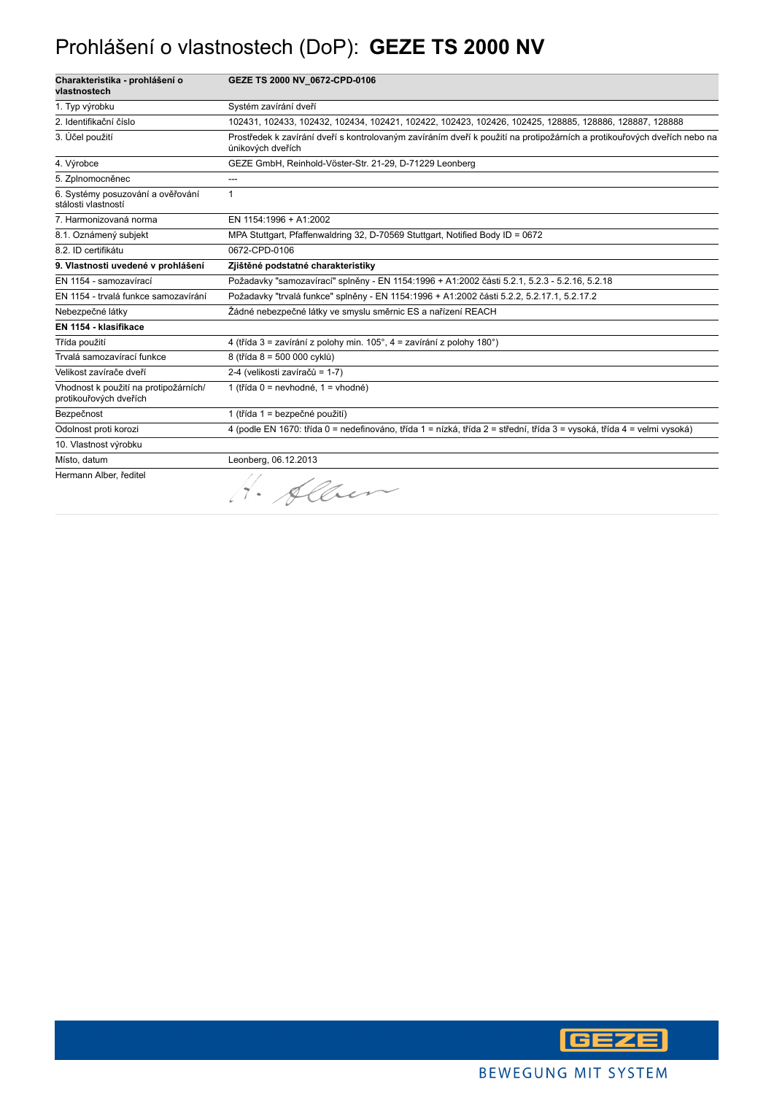## Prohlášení o vlastnostech (DoP): **GEZE TS 2000 NV**

| Charakteristika - prohlášení o<br>vlastnostech                  | GEZE TS 2000 NV 0672-CPD-0106                                                                                                                 |
|-----------------------------------------------------------------|-----------------------------------------------------------------------------------------------------------------------------------------------|
| 1. Typ výrobku                                                  | Systém zavírání dveří                                                                                                                         |
| 2. Identifikační číslo                                          | 102431, 102433, 102432, 102434, 102421, 102422, 102423, 102426, 102425, 128885, 128886, 128887, 128888                                        |
| 3. Účel použití                                                 | Prostředek k zavírání dveří s kontrolovaným zavíráním dveří k použití na protipožárních a protikouřových dveřích nebo na<br>únikových dveřích |
| 4. Výrobce                                                      | GEZE GmbH, Reinhold-Vöster-Str. 21-29, D-71229 Leonberg                                                                                       |
| 5. Zplnomocněnec                                                | ---                                                                                                                                           |
| 6. Systémy posuzování a ověřování<br>stálosti vlastností        | 1                                                                                                                                             |
| 7. Harmonizovaná norma                                          | EN 1154:1996 + A1:2002                                                                                                                        |
| 8.1. Oznámený subjekt                                           | MPA Stuttgart, Pfaffenwaldring 32, D-70569 Stuttgart, Notified Body ID = 0672                                                                 |
| 8.2. ID certifikátu                                             | 0672-CPD-0106                                                                                                                                 |
| 9. Vlastnosti uvedené v prohlášení                              | Zjištěné podstatné charakteristiky                                                                                                            |
| EN 1154 - samozavírací                                          | Požadavky "samozavírací" splněny - EN 1154:1996 + A1:2002 části 5.2.1, 5.2.3 - 5.2.16, 5.2.18                                                 |
| EN 1154 - trvalá funkce samozavírání                            | Požadavky "trvalá funkce" splněny - EN 1154:1996 + A1:2002 části 5.2.2, 5.2.17.1, 5.2.17.2                                                    |
| Nebezpečné látky                                                | Žádné nebezpečné látky ve smyslu směrnic ES a nařízení REACH                                                                                  |
| EN 1154 - klasifikace                                           |                                                                                                                                               |
| Třída použití                                                   | 4 (třída 3 = zavírání z polohy min. 105°, 4 = zavírání z polohy 180°)                                                                         |
| Trvalá samozavírací funkce                                      | 8 (třída 8 = 500 000 cyklů)                                                                                                                   |
| Velikost zavírače dveří                                         | 2-4 (velikosti zavíračů = 1-7)                                                                                                                |
| Vhodnost k použití na protipožárních/<br>protikouřových dveřích | 1 (třída 0 = nevhodné, 1 = vhodné)                                                                                                            |
| Bezpečnost                                                      | 1 (třída 1 = bezpečné použití)                                                                                                                |
| Odolnost proti korozi                                           | 4 (podle EN 1670: třída 0 = nedefinováno, třída 1 = nízká, třída 2 = střední, třída 3 = vysoká, třída 4 = velmi vysoká)                       |
| 10. Vlastnost výrobku                                           |                                                                                                                                               |
| Místo, datum                                                    | Leonberg, 06.12.2013                                                                                                                          |
| Hermann Alber, ředitel                                          | Alber                                                                                                                                         |

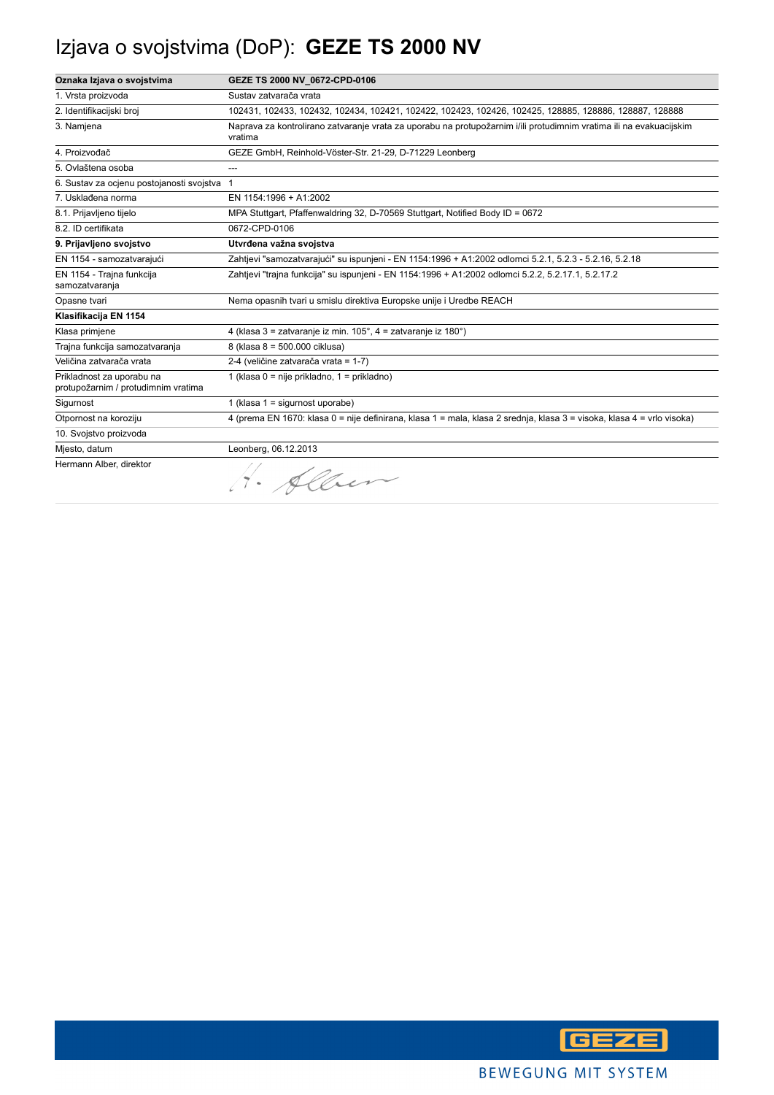# Izjava o svojstvima (DoP): **GEZE TS 2000 NV**

| Oznaka Izjava o svojstvima                                       | GEZE TS 2000 NV_0672-CPD-0106                                                                                                  |
|------------------------------------------------------------------|--------------------------------------------------------------------------------------------------------------------------------|
| 1. Vrsta proizvoda                                               | Sustav zatvarača vrata                                                                                                         |
| 2. Identifikacijski broj                                         | 102431, 102433, 102432, 102434, 102421, 102422, 102423, 102426, 102425, 128885, 128886, 128887, 128888                         |
| 3. Namjena                                                       | Naprava za kontrolirano zatvaranje vrata za uporabu na protupožarnim i/ili protudimnim vratima ili na evakuacijskim<br>vratima |
| 4. Proizvođač                                                    | GEZE GmbH, Reinhold-Vöster-Str. 21-29, D-71229 Leonberg                                                                        |
| 5. Ovlaštena osoba                                               | ---                                                                                                                            |
| 6. Sustav za ocjenu postojanosti svojstva 1                      |                                                                                                                                |
| 7. Usklađena norma                                               | EN 1154:1996 + A1:2002                                                                                                         |
| 8.1. Prijavljeno tijelo                                          | MPA Stuttgart, Pfaffenwaldring 32, D-70569 Stuttgart, Notified Body ID = 0672                                                  |
| 8.2. ID certifikata                                              | 0672-CPD-0106                                                                                                                  |
| 9. Prijavljeno svojstvo                                          | Utvrđena važna svojstva                                                                                                        |
| EN 1154 - samozatvarajući                                        | Zahtjevi "samozatvarajući" su ispunjeni - EN 1154:1996 + A1:2002 odlomci 5.2.1, 5.2.3 - 5.2.16, 5.2.18                         |
| EN 1154 - Trajna funkcija<br>samozatvaranja                      | Zahtjevi "trajna funkcija" su ispunjeni - EN 1154:1996 + A1:2002 odlomci 5.2.2, 5.2.17.1, 5.2.17.2                             |
| Opasne tvari                                                     | Nema opasnih tvari u smislu direktiva Europske unije i Uredbe REACH                                                            |
| Klasifikacija EN 1154                                            |                                                                                                                                |
| Klasa primjene                                                   | 4 (klasa 3 = zatvaranje iz min. 105°, 4 = zatvaranje iz 180°)                                                                  |
| Trajna funkcija samozatvaranja                                   | 8 (klasa 8 = 500.000 ciklusa)                                                                                                  |
| Veličina zatvarača vrata                                         | 2-4 (veličine zatvarača vrata = 1-7)                                                                                           |
| Prikladnost za uporabu na<br>protupožarnim / protudimnim vratima | 1 (klasa 0 = nije prikladno, 1 = prikladno)                                                                                    |
| Sigurnost                                                        | 1 (klasa $1 =$ sigurnost uporabe)                                                                                              |
| Otpornost na koroziju                                            | 4 (prema EN 1670: klasa 0 = nije definirana, klasa 1 = mala, klasa 2 srednja, klasa 3 = visoka, klasa 4 = vrlo visoka)         |
| 10. Svojstvo proizvoda                                           |                                                                                                                                |
| Miesto, datum                                                    | Leonberg, 06.12.2013                                                                                                           |
| Hermann Alber, direktor                                          | H. Alber                                                                                                                       |